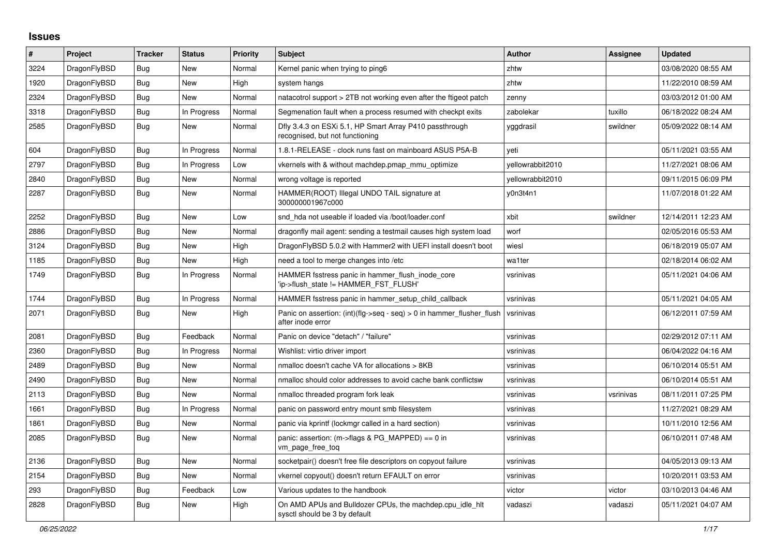## **Issues**

| $\#$ | Project      | <b>Tracker</b> | <b>Status</b> | Priority | <b>Subject</b>                                                                             | <b>Author</b>    | Assignee  | <b>Updated</b>      |
|------|--------------|----------------|---------------|----------|--------------------------------------------------------------------------------------------|------------------|-----------|---------------------|
| 3224 | DragonFlyBSD | <b>Bug</b>     | New           | Normal   | Kernel panic when trying to ping6                                                          | zhtw             |           | 03/08/2020 08:55 AM |
| 1920 | DragonFlyBSD | <b>Bug</b>     | New           | High     | system hangs                                                                               | zhtw             |           | 11/22/2010 08:59 AM |
| 2324 | DragonFlyBSD | Bug            | New           | Normal   | natacotrol support > 2TB not working even after the ftigeot patch                          | zenny            |           | 03/03/2012 01:00 AM |
| 3318 | DragonFlyBSD | Bug            | In Progress   | Normal   | Segmenation fault when a process resumed with checkpt exits                                | zabolekar        | tuxillo   | 06/18/2022 08:24 AM |
| 2585 | DragonFlyBSD | <b>Bug</b>     | <b>New</b>    | Normal   | Dfly 3.4.3 on ESXi 5.1, HP Smart Array P410 passthrough<br>recognised, but not functioning | yggdrasil        | swildner  | 05/09/2022 08:14 AM |
| 604  | DragonFlyBSD | Bug            | In Progress   | Normal   | 1.8.1-RELEASE - clock runs fast on mainboard ASUS P5A-B                                    | yeti             |           | 05/11/2021 03:55 AM |
| 2797 | DragonFlyBSD | Bug            | In Progress   | Low      | vkernels with & without machdep.pmap mmu optimize                                          | yellowrabbit2010 |           | 11/27/2021 08:06 AM |
| 2840 | DragonFlyBSD | <b>Bug</b>     | New           | Normal   | wrong voltage is reported                                                                  | yellowrabbit2010 |           | 09/11/2015 06:09 PM |
| 2287 | DragonFlyBSD | Bug            | <b>New</b>    | Normal   | HAMMER(ROOT) Illegal UNDO TAIL signature at<br>300000001967c000                            | y0n3t4n1         |           | 11/07/2018 01:22 AM |
| 2252 | DragonFlyBSD | Bug            | New           | Low      | snd hda not useable if loaded via /boot/loader.conf                                        | xbit             | swildner  | 12/14/2011 12:23 AM |
| 2886 | DragonFlyBSD | Bug            | New           | Normal   | dragonfly mail agent: sending a testmail causes high system load                           | worf             |           | 02/05/2016 05:53 AM |
| 3124 | DragonFlyBSD | <b>Bug</b>     | New           | High     | DragonFlyBSD 5.0.2 with Hammer2 with UEFI install doesn't boot                             | wiesl            |           | 06/18/2019 05:07 AM |
| 1185 | DragonFlyBSD | Bug            | <b>New</b>    | High     | need a tool to merge changes into /etc                                                     | wa1ter           |           | 02/18/2014 06:02 AM |
| 1749 | DragonFlyBSD | <b>Bug</b>     | In Progress   | Normal   | HAMMER fsstress panic in hammer_flush_inode_core<br>'ip->flush state != HAMMER FST FLUSH'  | vsrinivas        |           | 05/11/2021 04:06 AM |
| 1744 | DragonFlyBSD | Bug            | In Progress   | Normal   | HAMMER fsstress panic in hammer setup child callback                                       | vsrinivas        |           | 05/11/2021 04:05 AM |
| 2071 | DragonFlyBSD | Bug            | <b>New</b>    | High     | Panic on assertion: (int)(flg->seq - seq) > 0 in hammer_flusher_flush<br>after inode error | vsrinivas        |           | 06/12/2011 07:59 AM |
| 2081 | DragonFlyBSD | <b>Bug</b>     | Feedback      | Normal   | Panic on device "detach" / "failure"                                                       | vsrinivas        |           | 02/29/2012 07:11 AM |
| 2360 | DragonFlyBSD | Bug            | In Progress   | Normal   | Wishlist: virtio driver import                                                             | vsrinivas        |           | 06/04/2022 04:16 AM |
| 2489 | DragonFlyBSD | Bug            | New           | Normal   | nmalloc doesn't cache VA for allocations > 8KB                                             | vsrinivas        |           | 06/10/2014 05:51 AM |
| 2490 | DragonFlyBSD | <b>Bug</b>     | New           | Normal   | nmalloc should color addresses to avoid cache bank conflictsw                              | vsrinivas        |           | 06/10/2014 05:51 AM |
| 2113 | DragonFlyBSD | <b>Bug</b>     | New           | Normal   | nmalloc threaded program fork leak                                                         | vsrinivas        | vsrinivas | 08/11/2011 07:25 PM |
| 1661 | DragonFlyBSD | Bug            | In Progress   | Normal   | panic on password entry mount smb filesystem                                               | vsrinivas        |           | 11/27/2021 08:29 AM |
| 1861 | DragonFlyBSD | <b>Bug</b>     | New           | Normal   | panic via kprintf (lockmgr called in a hard section)                                       | vsrinivas        |           | 10/11/2010 12:56 AM |
| 2085 | DragonFlyBSD | Bug            | <b>New</b>    | Normal   | panic: assertion: $(m\rightarrow$ flags & PG MAPPED) == 0 in<br>vm_page_free_toq           | vsrinivas        |           | 06/10/2011 07:48 AM |
| 2136 | DragonFlyBSD | Bug            | <b>New</b>    | Normal   | socketpair() doesn't free file descriptors on copyout failure                              | vsrinivas        |           | 04/05/2013 09:13 AM |
| 2154 | DragonFlyBSD | Bug            | New           | Normal   | vkernel copyout() doesn't return EFAULT on error                                           | vsrinivas        |           | 10/20/2011 03:53 AM |
| 293  | DragonFlyBSD | Bug            | Feedback      | Low      | Various updates to the handbook                                                            | victor           | victor    | 03/10/2013 04:46 AM |
| 2828 | DragonFlyBSD | <b>Bug</b>     | New           | High     | On AMD APUs and Bulldozer CPUs, the machdep.cpu_idle_hlt<br>sysctl should be 3 by default  | vadaszi          | vadaszi   | 05/11/2021 04:07 AM |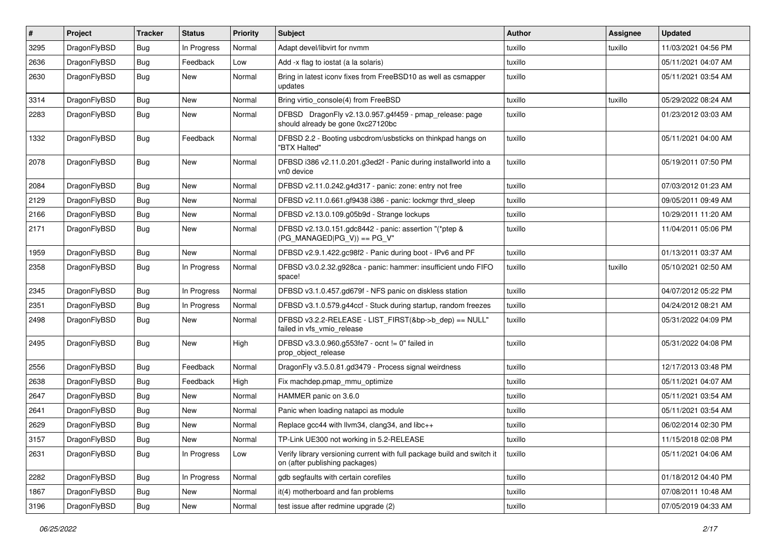| #    | Project      | <b>Tracker</b> | <b>Status</b> | <b>Priority</b> | Subject                                                                                                   | Author  | Assignee | <b>Updated</b>      |
|------|--------------|----------------|---------------|-----------------|-----------------------------------------------------------------------------------------------------------|---------|----------|---------------------|
| 3295 | DragonFlyBSD | Bug            | In Progress   | Normal          | Adapt devel/libvirt for nvmm                                                                              | tuxillo | tuxillo  | 11/03/2021 04:56 PM |
| 2636 | DragonFlyBSD | Bug            | Feedback      | Low             | Add -x flag to iostat (a la solaris)                                                                      | tuxillo |          | 05/11/2021 04:07 AM |
| 2630 | DragonFlyBSD | Bug            | New           | Normal          | Bring in latest iconv fixes from FreeBSD10 as well as csmapper<br>updates                                 | tuxillo |          | 05/11/2021 03:54 AM |
| 3314 | DragonFlyBSD | Bug            | <b>New</b>    | Normal          | Bring virtio_console(4) from FreeBSD                                                                      | tuxillo | tuxillo  | 05/29/2022 08:24 AM |
| 2283 | DragonFlyBSD | Bug            | New           | Normal          | DFBSD DragonFly v2.13.0.957.g4f459 - pmap_release: page<br>should already be gone 0xc27120bc              | tuxillo |          | 01/23/2012 03:03 AM |
| 1332 | DragonFlyBSD | Bug            | Feedback      | Normal          | DFBSD 2.2 - Booting usbcdrom/usbsticks on thinkpad hangs on<br>"BTX Halted"                               | tuxillo |          | 05/11/2021 04:00 AM |
| 2078 | DragonFlyBSD | Bug            | New           | Normal          | DFBSD i386 v2.11.0.201.g3ed2f - Panic during installworld into a<br>vn0 device                            | tuxillo |          | 05/19/2011 07:50 PM |
| 2084 | DragonFlyBSD | Bug            | New           | Normal          | DFBSD v2.11.0.242.g4d317 - panic: zone: entry not free                                                    | tuxillo |          | 07/03/2012 01:23 AM |
| 2129 | DragonFlyBSD | Bug            | New           | Normal          | DFBSD v2.11.0.661.gf9438 i386 - panic: lockmgr thrd_sleep                                                 | tuxillo |          | 09/05/2011 09:49 AM |
| 2166 | DragonFlyBSD | Bug            | New           | Normal          | DFBSD v2.13.0.109.g05b9d - Strange lockups                                                                | tuxillo |          | 10/29/2011 11:20 AM |
| 2171 | DragonFlyBSD | Bug            | <b>New</b>    | Normal          | DFBSD v2.13.0.151.gdc8442 - panic: assertion "(*ptep &<br>$(PG$ MANAGED $ PG_V\rangle$ ) == PG_V"         | tuxillo |          | 11/04/2011 05:06 PM |
| 1959 | DragonFlyBSD | Bug            | <b>New</b>    | Normal          | DFBSD v2.9.1.422.gc98f2 - Panic during boot - IPv6 and PF                                                 | tuxillo |          | 01/13/2011 03:37 AM |
| 2358 | DragonFlyBSD | Bug            | In Progress   | Normal          | DFBSD v3.0.2.32.g928ca - panic: hammer: insufficient undo FIFO<br>space!                                  | tuxillo | tuxillo  | 05/10/2021 02:50 AM |
| 2345 | DragonFlyBSD | Bug            | In Progress   | Normal          | DFBSD v3.1.0.457.gd679f - NFS panic on diskless station                                                   | tuxillo |          | 04/07/2012 05:22 PM |
| 2351 | DragonFlyBSD | Bug            | In Progress   | Normal          | DFBSD v3.1.0.579.g44ccf - Stuck during startup, random freezes                                            | tuxillo |          | 04/24/2012 08:21 AM |
| 2498 | DragonFlyBSD | Bug            | New           | Normal          | DFBSD v3.2.2-RELEASE - LIST_FIRST(&bp->b_dep) == NULL"<br>failed in vfs_vmio_release                      | tuxillo |          | 05/31/2022 04:09 PM |
| 2495 | DragonFlyBSD | <b>Bug</b>     | <b>New</b>    | High            | DFBSD v3.3.0.960.g553fe7 - ocnt != 0" failed in<br>prop object release                                    | tuxillo |          | 05/31/2022 04:08 PM |
| 2556 | DragonFlyBSD | Bug            | Feedback      | Normal          | DragonFly v3.5.0.81.gd3479 - Process signal weirdness                                                     | tuxillo |          | 12/17/2013 03:48 PM |
| 2638 | DragonFlyBSD | Bug            | Feedback      | High            | Fix machdep.pmap mmu optimize                                                                             | tuxillo |          | 05/11/2021 04:07 AM |
| 2647 | DragonFlyBSD | Bug            | New           | Normal          | HAMMER panic on 3.6.0                                                                                     | tuxillo |          | 05/11/2021 03:54 AM |
| 2641 | DragonFlyBSD | <b>Bug</b>     | New           | Normal          | Panic when loading natapci as module                                                                      | tuxillo |          | 05/11/2021 03:54 AM |
| 2629 | DragonFlyBSD | Bug            | New           | Normal          | Replace gcc44 with llvm34, clang34, and libc++                                                            | tuxillo |          | 06/02/2014 02:30 PM |
| 3157 | DragonFlyBSD | <b>Bug</b>     | New           | Normal          | TP-Link UE300 not working in 5.2-RELEASE                                                                  | tuxillo |          | 11/15/2018 02:08 PM |
| 2631 | DragonFlyBSD | Bug            | In Progress   | Low             | Verify library versioning current with full package build and switch it<br>on (after publishing packages) | tuxillo |          | 05/11/2021 04:06 AM |
| 2282 | DragonFlyBSD | <b>Bug</b>     | In Progress   | Normal          | gdb segfaults with certain corefiles                                                                      | tuxillo |          | 01/18/2012 04:40 PM |
| 1867 | DragonFlyBSD | <b>Bug</b>     | <b>New</b>    | Normal          | it(4) motherboard and fan problems                                                                        | tuxillo |          | 07/08/2011 10:48 AM |
| 3196 | DragonFlyBSD | <b>Bug</b>     | New           | Normal          | test issue after redmine upgrade (2)                                                                      | tuxillo |          | 07/05/2019 04:33 AM |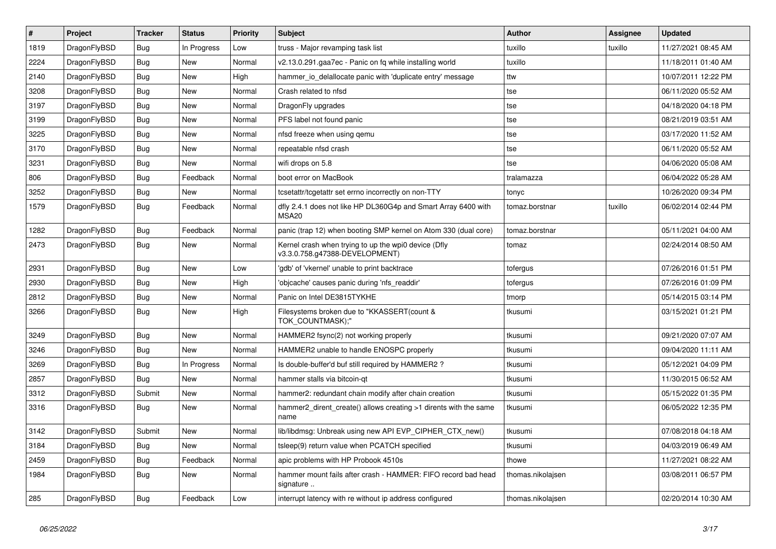| $\vert$ # | <b>Project</b> | <b>Tracker</b> | <b>Status</b> | <b>Priority</b> | <b>Subject</b>                                                                         | <b>Author</b>     | Assignee | <b>Updated</b>      |
|-----------|----------------|----------------|---------------|-----------------|----------------------------------------------------------------------------------------|-------------------|----------|---------------------|
| 1819      | DragonFlyBSD   | <b>Bug</b>     | In Progress   | Low             | truss - Major revamping task list                                                      | tuxillo           | tuxillo  | 11/27/2021 08:45 AM |
| 2224      | DragonFlyBSD   | Bug            | <b>New</b>    | Normal          | v2.13.0.291.gaa7ec - Panic on fq while installing world                                | tuxillo           |          | 11/18/2011 01:40 AM |
| 2140      | DragonFlyBSD   | <b>Bug</b>     | <b>New</b>    | High            | hammer_io_delallocate panic with 'duplicate entry' message                             | ttw               |          | 10/07/2011 12:22 PM |
| 3208      | DragonFlyBSD   | Bug            | <b>New</b>    | Normal          | Crash related to nfsd                                                                  | tse               |          | 06/11/2020 05:52 AM |
| 3197      | DragonFlyBSD   | Bug            | <b>New</b>    | Normal          | DragonFly upgrades                                                                     | tse               |          | 04/18/2020 04:18 PM |
| 3199      | DragonFlyBSD   | <b>Bug</b>     | <b>New</b>    | Normal          | PFS label not found panic                                                              | tse               |          | 08/21/2019 03:51 AM |
| 3225      | DragonFlyBSD   | <b>Bug</b>     | <b>New</b>    | Normal          | nfsd freeze when using gemu                                                            | tse               |          | 03/17/2020 11:52 AM |
| 3170      | DragonFlyBSD   | Bug            | New           | Normal          | repeatable nfsd crash                                                                  | tse               |          | 06/11/2020 05:52 AM |
| 3231      | DragonFlyBSD   | Bug            | <b>New</b>    | Normal          | wifi drops on 5.8                                                                      | tse               |          | 04/06/2020 05:08 AM |
| 806       | DragonFlyBSD   | <b>Bug</b>     | Feedback      | Normal          | boot error on MacBook                                                                  | tralamazza        |          | 06/04/2022 05:28 AM |
| 3252      | DragonFlyBSD   | <b>Bug</b>     | <b>New</b>    | Normal          | tcsetattr/tcgetattr set errno incorrectly on non-TTY                                   | tonyc             |          | 10/26/2020 09:34 PM |
| 1579      | DragonFlyBSD   | <b>Bug</b>     | Feedback      | Normal          | dfly 2.4.1 does not like HP DL360G4p and Smart Array 6400 with<br>MSA <sub>20</sub>    | tomaz.borstnar    | tuxillo  | 06/02/2014 02:44 PM |
| 1282      | DragonFlyBSD   | Bug            | Feedback      | Normal          | panic (trap 12) when booting SMP kernel on Atom 330 (dual core)                        | tomaz.borstnar    |          | 05/11/2021 04:00 AM |
| 2473      | DragonFlyBSD   | <b>Bug</b>     | New           | Normal          | Kernel crash when trying to up the wpi0 device (Dfly<br>v3.3.0.758.g47388-DEVELOPMENT) | tomaz             |          | 02/24/2014 08:50 AM |
| 2931      | DragonFlyBSD   | <b>Bug</b>     | <b>New</b>    | Low             | 'gdb' of 'vkernel' unable to print backtrace                                           | tofergus          |          | 07/26/2016 01:51 PM |
| 2930      | DragonFlyBSD   | <b>Bug</b>     | <b>New</b>    | High            | 'objcache' causes panic during 'nfs_readdir'                                           | tofergus          |          | 07/26/2016 01:09 PM |
| 2812      | DragonFlyBSD   | <b>Bug</b>     | <b>New</b>    | Normal          | Panic on Intel DE3815TYKHE                                                             | tmorp             |          | 05/14/2015 03:14 PM |
| 3266      | DragonFlyBSD   | <b>Bug</b>     | New           | High            | Filesystems broken due to "KKASSERT(count &<br>TOK COUNTMASK);"                        | tkusumi           |          | 03/15/2021 01:21 PM |
| 3249      | DragonFlyBSD   | Bug            | New           | Normal          | HAMMER2 fsync(2) not working properly                                                  | tkusumi           |          | 09/21/2020 07:07 AM |
| 3246      | DragonFlyBSD   | <b>Bug</b>     | New           | Normal          | HAMMER2 unable to handle ENOSPC properly                                               | tkusumi           |          | 09/04/2020 11:11 AM |
| 3269      | DragonFlyBSD   | Bug            | In Progress   | Normal          | Is double-buffer'd buf still required by HAMMER2 ?                                     | tkusumi           |          | 05/12/2021 04:09 PM |
| 2857      | DragonFlyBSD   | Bug            | New           | Normal          | hammer stalls via bitcoin-qt                                                           | tkusumi           |          | 11/30/2015 06:52 AM |
| 3312      | DragonFlyBSD   | Submit         | New           | Normal          | hammer2: redundant chain modify after chain creation                                   | tkusumi           |          | 05/15/2022 01:35 PM |
| 3316      | DragonFlyBSD   | <b>Bug</b>     | New           | Normal          | hammer2_dirent_create() allows creating >1 dirents with the same<br>name               | tkusumi           |          | 06/05/2022 12:35 PM |
| 3142      | DragonFlyBSD   | Submit         | New           | Normal          | lib/libdmsg: Unbreak using new API EVP CIPHER CTX new()                                | tkusumi           |          | 07/08/2018 04:18 AM |
| 3184      | DragonFlyBSD   | Bug            | <b>New</b>    | Normal          | tsleep(9) return value when PCATCH specified                                           | tkusumi           |          | 04/03/2019 06:49 AM |
| 2459      | DragonFlyBSD   | <b>Bug</b>     | Feedback      | Normal          | apic problems with HP Probook 4510s                                                    | thowe             |          | 11/27/2021 08:22 AM |
| 1984      | DragonFlyBSD   | <b>Bug</b>     | <b>New</b>    | Normal          | hammer mount fails after crash - HAMMER: FIFO record bad head<br>signature             | thomas.nikolajsen |          | 03/08/2011 06:57 PM |
| 285       | DragonFlyBSD   | <b>Bug</b>     | Feedback      | Low             | interrupt latency with re without ip address configured                                | thomas.nikolajsen |          | 02/20/2014 10:30 AM |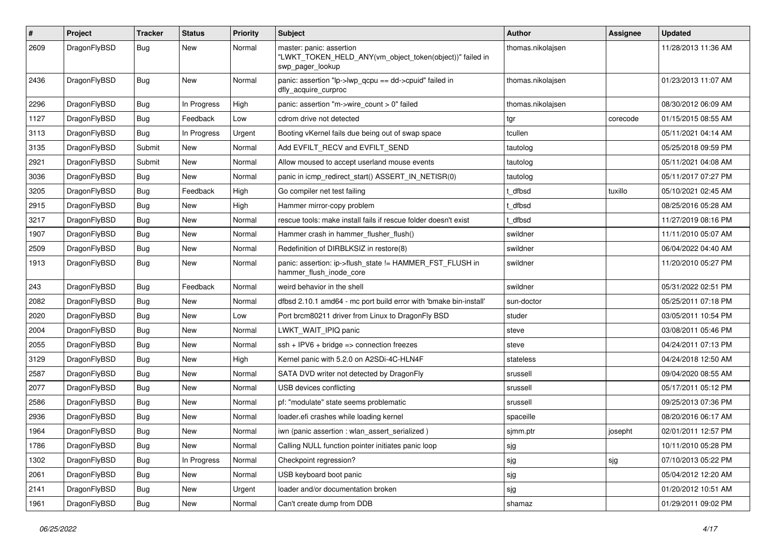| #    | Project      | <b>Tracker</b> | <b>Status</b> | <b>Priority</b> | Subject                                                                                                  | <b>Author</b>     | <b>Assignee</b> | <b>Updated</b>      |
|------|--------------|----------------|---------------|-----------------|----------------------------------------------------------------------------------------------------------|-------------------|-----------------|---------------------|
| 2609 | DragonFlyBSD | Bug            | New           | Normal          | master: panic: assertion<br>"LWKT_TOKEN_HELD_ANY(vm_object_token(object))" failed in<br>swp pager lookup | thomas.nikolajsen |                 | 11/28/2013 11:36 AM |
| 2436 | DragonFlyBSD | <b>Bug</b>     | New           | Normal          | panic: assertion "lp->lwp_qcpu == dd->cpuid" failed in<br>dfly_acquire_curproc                           | thomas.nikolajsen |                 | 01/23/2013 11:07 AM |
| 2296 | DragonFlyBSD | <b>Bug</b>     | In Progress   | High            | panic: assertion "m->wire count > 0" failed                                                              | thomas.nikolajsen |                 | 08/30/2012 06:09 AM |
| 1127 | DragonFlyBSD | <b>Bug</b>     | Feedback      | Low             | cdrom drive not detected                                                                                 | tgr               | corecode        | 01/15/2015 08:55 AM |
| 3113 | DragonFlyBSD | <b>Bug</b>     | In Progress   | Urgent          | Booting vKernel fails due being out of swap space                                                        | tcullen           |                 | 05/11/2021 04:14 AM |
| 3135 | DragonFlyBSD | Submit         | New           | Normal          | Add EVFILT_RECV and EVFILT_SEND                                                                          | tautolog          |                 | 05/25/2018 09:59 PM |
| 2921 | DragonFlyBSD | Submit         | <b>New</b>    | Normal          | Allow moused to accept userland mouse events                                                             | tautolog          |                 | 05/11/2021 04:08 AM |
| 3036 | DragonFlyBSD | Bug            | New           | Normal          | panic in icmp redirect start() ASSERT IN NETISR(0)                                                       | tautolog          |                 | 05/11/2017 07:27 PM |
| 3205 | DragonFlyBSD | <b>Bug</b>     | Feedback      | High            | Go compiler net test failing                                                                             | t dfbsd           | tuxillo         | 05/10/2021 02:45 AM |
| 2915 | DragonFlyBSD | <b>Bug</b>     | <b>New</b>    | High            | Hammer mirror-copy problem                                                                               | : dfbsd           |                 | 08/25/2016 05:28 AM |
| 3217 | DragonFlyBSD | <b>Bug</b>     | New           | Normal          | rescue tools: make install fails if rescue folder doesn't exist                                          | t_dfbsd           |                 | 11/27/2019 08:16 PM |
| 1907 | DragonFlyBSD | <b>Bug</b>     | <b>New</b>    | Normal          | Hammer crash in hammer_flusher_flush()                                                                   | swildner          |                 | 11/11/2010 05:07 AM |
| 2509 | DragonFlyBSD | <b>Bug</b>     | <b>New</b>    | Normal          | Redefinition of DIRBLKSIZ in restore(8)                                                                  | swildner          |                 | 06/04/2022 04:40 AM |
| 1913 | DragonFlyBSD | Bug            | New           | Normal          | panic: assertion: ip->flush_state != HAMMER_FST_FLUSH in<br>hammer_flush_inode_core                      | swildner          |                 | 11/20/2010 05:27 PM |
| 243  | DragonFlyBSD | <b>Bug</b>     | Feedback      | Normal          | weird behavior in the shell                                                                              | swildner          |                 | 05/31/2022 02:51 PM |
| 2082 | DragonFlyBSD | <b>Bug</b>     | New           | Normal          | dfbsd 2.10.1 amd64 - mc port build error with 'bmake bin-install'                                        | sun-doctor        |                 | 05/25/2011 07:18 PM |
| 2020 | DragonFlyBSD | <b>Bug</b>     | <b>New</b>    | Low             | Port brcm80211 driver from Linux to DragonFly BSD                                                        | studer            |                 | 03/05/2011 10:54 PM |
| 2004 | DragonFlyBSD | <b>Bug</b>     | New           | Normal          | LWKT_WAIT_IPIQ panic                                                                                     | steve             |                 | 03/08/2011 05:46 PM |
| 2055 | DragonFlyBSD | <b>Bug</b>     | <b>New</b>    | Normal          | $ssh + IPV6 + bridge \Rightarrow$ connection freezes                                                     | steve             |                 | 04/24/2011 07:13 PM |
| 3129 | DragonFlyBSD | <b>Bug</b>     | <b>New</b>    | High            | Kernel panic with 5.2.0 on A2SDi-4C-HLN4F                                                                | stateless         |                 | 04/24/2018 12:50 AM |
| 2587 | DragonFlyBSD | <b>Bug</b>     | New           | Normal          | SATA DVD writer not detected by DragonFly                                                                | srussell          |                 | 09/04/2020 08:55 AM |
| 2077 | DragonFlyBSD | <b>Bug</b>     | <b>New</b>    | Normal          | USB devices conflicting                                                                                  | srussell          |                 | 05/17/2011 05:12 PM |
| 2586 | DragonFlyBSD | <b>Bug</b>     | New           | Normal          | pf: "modulate" state seems problematic                                                                   | srussell          |                 | 09/25/2013 07:36 PM |
| 2936 | DragonFlyBSD | <b>Bug</b>     | <b>New</b>    | Normal          | loader.efi crashes while loading kernel                                                                  | spaceille         |                 | 08/20/2016 06:17 AM |
| 1964 | DragonFlyBSD | <b>Bug</b>     | <b>New</b>    | Normal          | iwn (panic assertion : wlan assert serialized)                                                           | sjmm.ptr          | josepht         | 02/01/2011 12:57 PM |
| 1786 | DragonFlyBSD | Bug            | New           | Normal          | Calling NULL function pointer initiates panic loop                                                       | sjg               |                 | 10/11/2010 05:28 PM |
| 1302 | DragonFlyBSD | <b>Bug</b>     | In Progress   | Normal          | Checkpoint regression?                                                                                   | sjg               | sjg             | 07/10/2013 05:22 PM |
| 2061 | DragonFlyBSD | <b>Bug</b>     | New           | Normal          | USB keyboard boot panic                                                                                  | sjg               |                 | 05/04/2012 12:20 AM |
| 2141 | DragonFlyBSD | <b>Bug</b>     | New           | Urgent          | loader and/or documentation broken                                                                       | sjg               |                 | 01/20/2012 10:51 AM |
| 1961 | DragonFlyBSD | <b>Bug</b>     | New           | Normal          | Can't create dump from DDB                                                                               | shamaz            |                 | 01/29/2011 09:02 PM |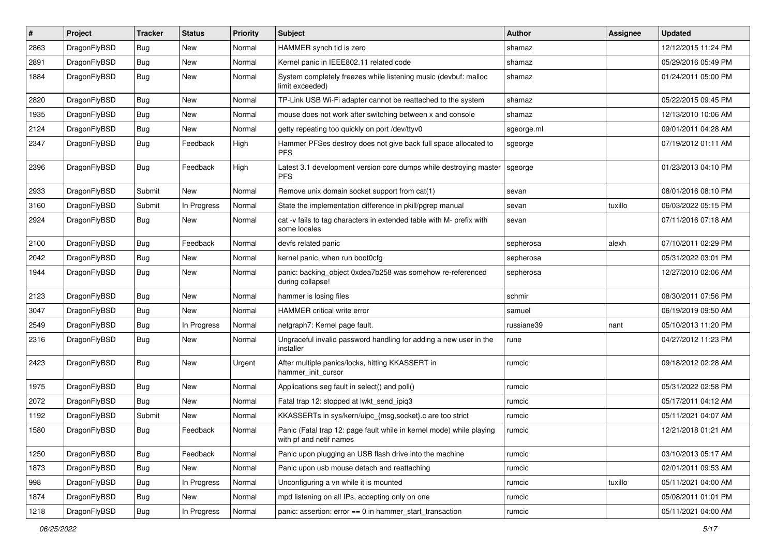| $\sharp$ | Project      | <b>Tracker</b> | <b>Status</b> | <b>Priority</b> | Subject                                                                                         | Author     | Assignee | <b>Updated</b>      |
|----------|--------------|----------------|---------------|-----------------|-------------------------------------------------------------------------------------------------|------------|----------|---------------------|
| 2863     | DragonFlyBSD | Bug            | New           | Normal          | HAMMER synch tid is zero                                                                        | shamaz     |          | 12/12/2015 11:24 PM |
| 2891     | DragonFlyBSD | Bug            | New           | Normal          | Kernel panic in IEEE802.11 related code                                                         | shamaz     |          | 05/29/2016 05:49 PM |
| 1884     | DragonFlyBSD | Bug            | New           | Normal          | System completely freezes while listening music (devbuf: malloc<br>limit exceeded)              | shamaz     |          | 01/24/2011 05:00 PM |
| 2820     | DragonFlyBSD | Bug            | <b>New</b>    | Normal          | TP-Link USB Wi-Fi adapter cannot be reattached to the system                                    | shamaz     |          | 05/22/2015 09:45 PM |
| 1935     | DragonFlyBSD | Bug            | New           | Normal          | mouse does not work after switching between x and console                                       | shamaz     |          | 12/13/2010 10:06 AM |
| 2124     | DragonFlyBSD | Bug            | New           | Normal          | getty repeating too quickly on port /dev/ttyv0                                                  | sgeorge.ml |          | 09/01/2011 04:28 AM |
| 2347     | DragonFlyBSD | Bug            | Feedback      | High            | Hammer PFSes destroy does not give back full space allocated to<br><b>PFS</b>                   | sgeorge    |          | 07/19/2012 01:11 AM |
| 2396     | DragonFlyBSD | Bug            | Feedback      | High            | Latest 3.1 development version core dumps while destroying master<br><b>PFS</b>                 | sgeorge    |          | 01/23/2013 04:10 PM |
| 2933     | DragonFlyBSD | Submit         | New           | Normal          | Remove unix domain socket support from cat(1)                                                   | sevan      |          | 08/01/2016 08:10 PM |
| 3160     | DragonFlyBSD | Submit         | In Progress   | Normal          | State the implementation difference in pkill/pgrep manual                                       | sevan      | tuxillo  | 06/03/2022 05:15 PM |
| 2924     | DragonFlyBSD | <b>Bug</b>     | New           | Normal          | cat -v fails to tag characters in extended table with M- prefix with<br>some locales            | sevan      |          | 07/11/2016 07:18 AM |
| 2100     | DragonFlyBSD | Bug            | Feedback      | Normal          | devfs related panic                                                                             | sepherosa  | alexh    | 07/10/2011 02:29 PM |
| 2042     | DragonFlyBSD | Bug            | <b>New</b>    | Normal          | kernel panic, when run boot0cfg                                                                 | sepherosa  |          | 05/31/2022 03:01 PM |
| 1944     | DragonFlyBSD | <b>Bug</b>     | New           | Normal          | panic: backing object 0xdea7b258 was somehow re-referenced<br>during collapse!                  | sepherosa  |          | 12/27/2010 02:06 AM |
| 2123     | DragonFlyBSD | Bug            | <b>New</b>    | Normal          | hammer is losing files                                                                          | schmir     |          | 08/30/2011 07:56 PM |
| 3047     | DragonFlyBSD | Bug            | New           | Normal          | <b>HAMMER</b> critical write error                                                              | samuel     |          | 06/19/2019 09:50 AM |
| 2549     | DragonFlyBSD | <b>Bug</b>     | In Progress   | Normal          | netgraph7: Kernel page fault.                                                                   | russiane39 | nant     | 05/10/2013 11:20 PM |
| 2316     | DragonFlyBSD | <b>Bug</b>     | New           | Normal          | Ungraceful invalid password handling for adding a new user in the<br>installer                  | rune       |          | 04/27/2012 11:23 PM |
| 2423     | DragonFlyBSD | Bug            | New           | Urgent          | After multiple panics/locks, hitting KKASSERT in<br>hammer init cursor                          | rumcic     |          | 09/18/2012 02:28 AM |
| 1975     | DragonFlyBSD | <b>Bug</b>     | New           | Normal          | Applications seg fault in select() and poll()                                                   | rumcic     |          | 05/31/2022 02:58 PM |
| 2072     | DragonFlyBSD | <b>Bug</b>     | New           | Normal          | Fatal trap 12: stopped at lwkt_send_ipiq3                                                       | rumcic     |          | 05/17/2011 04:12 AM |
| 1192     | DragonFlyBSD | Submit         | New           | Normal          | KKASSERTs in sys/kern/uipc_{msg,socket}.c are too strict                                        | rumcic     |          | 05/11/2021 04:07 AM |
| 1580     | DragonFlyBSD | Bug            | Feedback      | Normal          | Panic (Fatal trap 12: page fault while in kernel mode) while playing<br>with pf and netif names | rumcic     |          | 12/21/2018 01:21 AM |
| 1250     | DragonFlyBSD | <b>Bug</b>     | Feedback      | Normal          | Panic upon plugging an USB flash drive into the machine                                         | rumcic     |          | 03/10/2013 05:17 AM |
| 1873     | DragonFlyBSD | <b>Bug</b>     | New           | Normal          | Panic upon usb mouse detach and reattaching                                                     | rumcic     |          | 02/01/2011 09:53 AM |
| 998      | DragonFlyBSD | Bug            | In Progress   | Normal          | Unconfiguring a vn while it is mounted                                                          | rumcic     | tuxillo  | 05/11/2021 04:00 AM |
| 1874     | DragonFlyBSD | <b>Bug</b>     | New           | Normal          | mpd listening on all IPs, accepting only on one                                                 | rumcic     |          | 05/08/2011 01:01 PM |
| 1218     | DragonFlyBSD | <b>Bug</b>     | In Progress   | Normal          | panic: assertion: error == 0 in hammer_start_transaction                                        | rumcic     |          | 05/11/2021 04:00 AM |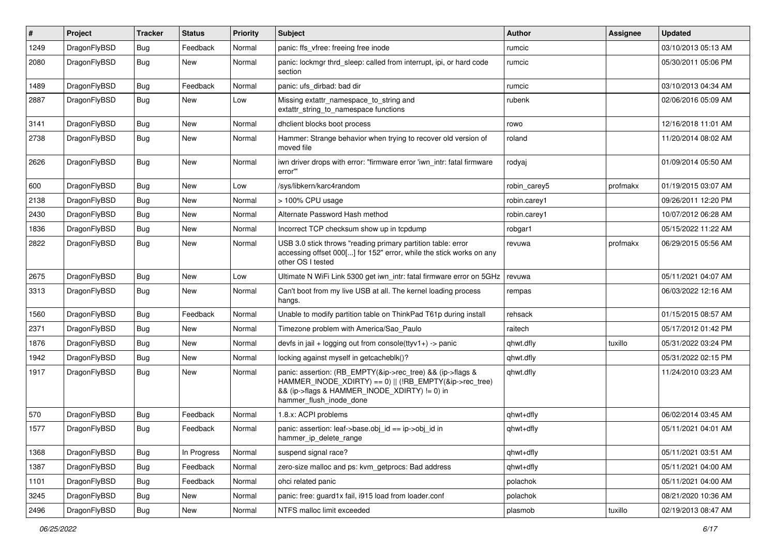| #    | Project      | <b>Tracker</b> | <b>Status</b> | Priority | Subject                                                                                                                                                                                           | Author       | Assignee | <b>Updated</b>      |
|------|--------------|----------------|---------------|----------|---------------------------------------------------------------------------------------------------------------------------------------------------------------------------------------------------|--------------|----------|---------------------|
| 1249 | DragonFlyBSD | <b>Bug</b>     | Feedback      | Normal   | panic: ffs vfree: freeing free inode                                                                                                                                                              | rumcic       |          | 03/10/2013 05:13 AM |
| 2080 | DragonFlyBSD | <b>Bug</b>     | New           | Normal   | panic: lockmgr thrd_sleep: called from interrupt, ipi, or hard code<br>section                                                                                                                    | rumcic       |          | 05/30/2011 05:06 PM |
| 1489 | DragonFlyBSD | Bug            | Feedback      | Normal   | panic: ufs dirbad: bad dir                                                                                                                                                                        | rumcic       |          | 03/10/2013 04:34 AM |
| 2887 | DragonFlyBSD | Bug            | New           | Low      | Missing extattr_namespace_to_string and<br>extattr string to namespace functions                                                                                                                  | rubenk       |          | 02/06/2016 05:09 AM |
| 3141 | DragonFlyBSD | Bug            | <b>New</b>    | Normal   | dhclient blocks boot process                                                                                                                                                                      | rowo         |          | 12/16/2018 11:01 AM |
| 2738 | DragonFlyBSD | <b>Bug</b>     | New           | Normal   | Hammer: Strange behavior when trying to recover old version of<br>moved file                                                                                                                      | roland       |          | 11/20/2014 08:02 AM |
| 2626 | DragonFlyBSD | Bug            | New           | Normal   | iwn driver drops with error: "firmware error 'iwn_intr: fatal firmware<br>error"                                                                                                                  | rodyaj       |          | 01/09/2014 05:50 AM |
| 600  | DragonFlyBSD | Bug            | New           | Low      | /sys/libkern/karc4random                                                                                                                                                                          | robin carey5 | profmakx | 01/19/2015 03:07 AM |
| 2138 | DragonFlyBSD | Bug            | New           | Normal   | > 100% CPU usage                                                                                                                                                                                  | robin.carey1 |          | 09/26/2011 12:20 PM |
| 2430 | DragonFlyBSD | <b>Bug</b>     | New           | Normal   | Alternate Password Hash method                                                                                                                                                                    | robin.carey1 |          | 10/07/2012 06:28 AM |
| 1836 | DragonFlyBSD | <b>Bug</b>     | New           | Normal   | Incorrect TCP checksum show up in tcpdump                                                                                                                                                         | robgar1      |          | 05/15/2022 11:22 AM |
| 2822 | DragonFlyBSD | Bug            | New           | Normal   | USB 3.0 stick throws "reading primary partition table: error<br>accessing offset 000[] for 152" error, while the stick works on any<br>other OS I tested                                          | revuwa       | profmakx | 06/29/2015 05:56 AM |
| 2675 | DragonFlyBSD | <b>Bug</b>     | New           | Low      | Ultimate N WiFi Link 5300 get iwn intr: fatal firmware error on 5GHz                                                                                                                              | revuwa       |          | 05/11/2021 04:07 AM |
| 3313 | DragonFlyBSD | <b>Bug</b>     | New           | Normal   | Can't boot from my live USB at all. The kernel loading process<br>hangs.                                                                                                                          | rempas       |          | 06/03/2022 12:16 AM |
| 1560 | DragonFlyBSD | Bug            | Feedback      | Normal   | Unable to modify partition table on ThinkPad T61p during install                                                                                                                                  | rehsack      |          | 01/15/2015 08:57 AM |
| 2371 | DragonFlyBSD | <b>Bug</b>     | New           | Normal   | Timezone problem with America/Sao Paulo                                                                                                                                                           | raitech      |          | 05/17/2012 01:42 PM |
| 1876 | DragonFlyBSD | <b>Bug</b>     | New           | Normal   | devfs in $ ail + logging$ out from console $(ttyv1+)$ -> panic                                                                                                                                    | qhwt.dfly    | tuxillo  | 05/31/2022 03:24 PM |
| 1942 | DragonFlyBSD | <b>Bug</b>     | <b>New</b>    | Normal   | locking against myself in getcacheblk()?                                                                                                                                                          | qhwt.dfly    |          | 05/31/2022 02:15 PM |
| 1917 | DragonFlyBSD | Bug            | New           | Normal   | panic: assertion: (RB_EMPTY(&ip->rec_tree) && (ip->flags &<br>HAMMER_INODE_XDIRTY) == 0)    (!RB_EMPTY(&ip->rec_tree)<br>&& (ip->flags & HAMMER_INODE_XDIRTY) != 0) in<br>hammer_flush_inode_done | qhwt.dfly    |          | 11/24/2010 03:23 AM |
| 570  | DragonFlyBSD | <b>Bug</b>     | Feedback      | Normal   | 1.8.x: ACPI problems                                                                                                                                                                              | qhwt+dfly    |          | 06/02/2014 03:45 AM |
| 1577 | DragonFlyBSD | <b>Bug</b>     | Feedback      | Normal   | panic: assertion: leaf->base.obj_id == ip->obj_id in<br>hammer_ip_delete_range                                                                                                                    | qhwt+dfly    |          | 05/11/2021 04:01 AM |
| 1368 | DragonFlyBSD | Bug            | In Progress   | Normal   | suspend signal race?                                                                                                                                                                              | qhwt+dfly    |          | 05/11/2021 03:51 AM |
| 1387 | DragonFlyBSD | <b>Bug</b>     | Feedback      | Normal   | zero-size malloc and ps: kvm_getprocs: Bad address                                                                                                                                                | qhwt+dfly    |          | 05/11/2021 04:00 AM |
| 1101 | DragonFlyBSD | <b>Bug</b>     | Feedback      | Normal   | ohci related panic                                                                                                                                                                                | polachok     |          | 05/11/2021 04:00 AM |
| 3245 | DragonFlyBSD | <b>Bug</b>     | New           | Normal   | panic: free: guard1x fail, i915 load from loader.conf                                                                                                                                             | polachok     |          | 08/21/2020 10:36 AM |
| 2496 | DragonFlyBSD | i Bug          | New           | Normal   | NTFS malloc limit exceeded                                                                                                                                                                        | plasmob      | tuxillo  | 02/19/2013 08:47 AM |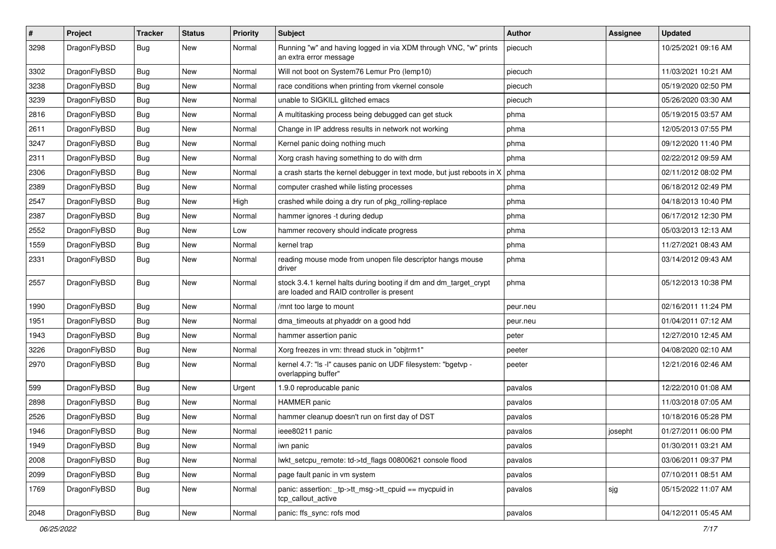| $\pmb{\#}$ | Project      | <b>Tracker</b> | <b>Status</b> | <b>Priority</b> | Subject                                                                                                        | Author   | Assignee | <b>Updated</b>      |
|------------|--------------|----------------|---------------|-----------------|----------------------------------------------------------------------------------------------------------------|----------|----------|---------------------|
| 3298       | DragonFlyBSD | Bug            | <b>New</b>    | Normal          | Running "w" and having logged in via XDM through VNC, "w" prints<br>an extra error message                     | piecuch  |          | 10/25/2021 09:16 AM |
| 3302       | DragonFlyBSD | <b>Bug</b>     | <b>New</b>    | Normal          | Will not boot on System76 Lemur Pro (lemp10)                                                                   | piecuch  |          | 11/03/2021 10:21 AM |
| 3238       | DragonFlyBSD | Bug            | <b>New</b>    | Normal          | race conditions when printing from vkernel console                                                             | piecuch  |          | 05/19/2020 02:50 PM |
| 3239       | DragonFlyBSD | Bug            | <b>New</b>    | Normal          | unable to SIGKILL glitched emacs                                                                               | piecuch  |          | 05/26/2020 03:30 AM |
| 2816       | DragonFlyBSD | <b>Bug</b>     | New           | Normal          | A multitasking process being debugged can get stuck                                                            | phma     |          | 05/19/2015 03:57 AM |
| 2611       | DragonFlyBSD | Bug            | New           | Normal          | Change in IP address results in network not working                                                            | phma     |          | 12/05/2013 07:55 PM |
| 3247       | DragonFlyBSD | Bug            | <b>New</b>    | Normal          | Kernel panic doing nothing much                                                                                | phma     |          | 09/12/2020 11:40 PM |
| 2311       | DragonFlyBSD | Bug            | New           | Normal          | Xorg crash having something to do with drm                                                                     | phma     |          | 02/22/2012 09:59 AM |
| 2306       | DragonFlyBSD | Bug            | <b>New</b>    | Normal          | a crash starts the kernel debugger in text mode, but just reboots in X                                         | phma     |          | 02/11/2012 08:02 PM |
| 2389       | DragonFlyBSD | Bug            | New           | Normal          | computer crashed while listing processes                                                                       | phma     |          | 06/18/2012 02:49 PM |
| 2547       | DragonFlyBSD | Bug            | New           | High            | crashed while doing a dry run of pkg_rolling-replace                                                           | phma     |          | 04/18/2013 10:40 PM |
| 2387       | DragonFlyBSD | Bug            | New           | Normal          | hammer ignores -t during dedup                                                                                 | phma     |          | 06/17/2012 12:30 PM |
| 2552       | DragonFlyBSD | Bug            | <b>New</b>    | Low             | hammer recovery should indicate progress                                                                       | phma     |          | 05/03/2013 12:13 AM |
| 1559       | DragonFlyBSD | Bug            | New           | Normal          | kernel trap                                                                                                    | phma     |          | 11/27/2021 08:43 AM |
| 2331       | DragonFlyBSD | Bug            | <b>New</b>    | Normal          | reading mouse mode from unopen file descriptor hangs mouse<br>driver                                           | phma     |          | 03/14/2012 09:43 AM |
| 2557       | DragonFlyBSD | Bug            | New           | Normal          | stock 3.4.1 kernel halts during booting if dm and dm_target_crypt<br>are loaded and RAID controller is present | phma     |          | 05/12/2013 10:38 PM |
| 1990       | DragonFlyBSD | Bug            | <b>New</b>    | Normal          | /mnt too large to mount                                                                                        | peur.neu |          | 02/16/2011 11:24 PM |
| 1951       | DragonFlyBSD | Bug            | New           | Normal          | dma timeouts at phyaddr on a good hdd                                                                          | peur.neu |          | 01/04/2011 07:12 AM |
| 1943       | DragonFlyBSD | Bug            | <b>New</b>    | Normal          | hammer assertion panic                                                                                         | peter    |          | 12/27/2010 12:45 AM |
| 3226       | DragonFlyBSD | Bug            | <b>New</b>    | Normal          | Xorg freezes in vm: thread stuck in "objtrm1"                                                                  | peeter   |          | 04/08/2020 02:10 AM |
| 2970       | DragonFlyBSD | Bug            | <b>New</b>    | Normal          | kernel 4.7: "Is -I" causes panic on UDF filesystem: "bgetvp -<br>overlapping buffer"                           | peeter   |          | 12/21/2016 02:46 AM |
| 599        | DragonFlyBSD | <b>Bug</b>     | <b>New</b>    | Urgent          | 1.9.0 reproducable panic                                                                                       | pavalos  |          | 12/22/2010 01:08 AM |
| 2898       | DragonFlyBSD | Bug            | New           | Normal          | <b>HAMMER</b> panic                                                                                            | pavalos  |          | 11/03/2018 07:05 AM |
| 2526       | DragonFlyBSD | Bug            | <b>New</b>    | Normal          | hammer cleanup doesn't run on first day of DST                                                                 | pavalos  |          | 10/18/2016 05:28 PM |
| 1946       | DragonFlyBSD | <b>Bug</b>     | <b>New</b>    | Normal          | ieee80211 panic                                                                                                | pavalos  | josepht  | 01/27/2011 06:00 PM |
| 1949       | DragonFlyBSD | <b>Bug</b>     | New           | Normal          | iwn panic                                                                                                      | pavalos  |          | 01/30/2011 03:21 AM |
| 2008       | DragonFlyBSD | <b>Bug</b>     | New           | Normal          | lwkt_setcpu_remote: td->td_flags 00800621 console flood                                                        | pavalos  |          | 03/06/2011 09:37 PM |
| 2099       | DragonFlyBSD | <b>Bug</b>     | New           | Normal          | page fault panic in vm system                                                                                  | pavalos  |          | 07/10/2011 08:51 AM |
| 1769       | DragonFlyBSD | Bug            | New           | Normal          | panic: assertion: _tp->tt_msg->tt_cpuid == mycpuid in<br>tcp_callout_active                                    | pavalos  | sjg      | 05/15/2022 11:07 AM |
| 2048       | DragonFlyBSD | Bug            | New           | Normal          | panic: ffs_sync: rofs mod                                                                                      | pavalos  |          | 04/12/2011 05:45 AM |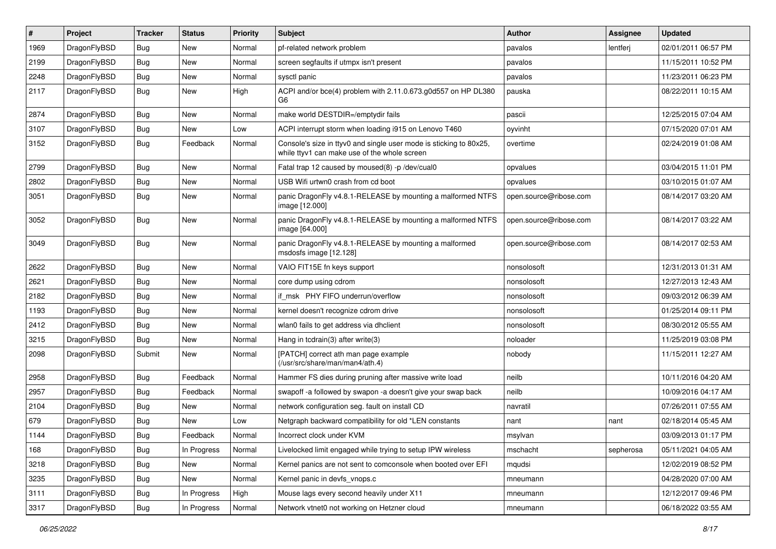| $\pmb{\#}$ | Project      | <b>Tracker</b> | <b>Status</b> | <b>Priority</b> | Subject                                                                                                            | Author                 | <b>Assignee</b> | <b>Updated</b>      |
|------------|--------------|----------------|---------------|-----------------|--------------------------------------------------------------------------------------------------------------------|------------------------|-----------------|---------------------|
| 1969       | DragonFlyBSD | Bug            | <b>New</b>    | Normal          | pf-related network problem                                                                                         | pavalos                | lentferj        | 02/01/2011 06:57 PM |
| 2199       | DragonFlyBSD | Bug            | New           | Normal          | screen segfaults if utmpx isn't present                                                                            | pavalos                |                 | 11/15/2011 10:52 PM |
| 2248       | DragonFlyBSD | <b>Bug</b>     | New           | Normal          | sysctl panic                                                                                                       | pavalos                |                 | 11/23/2011 06:23 PM |
| 2117       | DragonFlyBSD | Bug            | <b>New</b>    | High            | ACPI and/or bce(4) problem with 2.11.0.673.g0d557 on HP DL380<br>G6                                                | pauska                 |                 | 08/22/2011 10:15 AM |
| 2874       | DragonFlyBSD | <b>Bug</b>     | <b>New</b>    | Normal          | make world DESTDIR=/emptydir fails                                                                                 | pascii                 |                 | 12/25/2015 07:04 AM |
| 3107       | DragonFlyBSD | Bug            | New           | Low             | ACPI interrupt storm when loading i915 on Lenovo T460                                                              | oyvinht                |                 | 07/15/2020 07:01 AM |
| 3152       | DragonFlyBSD | Bug            | Feedback      | Normal          | Console's size in ttyv0 and single user mode is sticking to 80x25,<br>while ttyv1 can make use of the whole screen | overtime               |                 | 02/24/2019 01:08 AM |
| 2799       | DragonFlyBSD | <b>Bug</b>     | New           | Normal          | Fatal trap 12 caused by moused(8) -p /dev/cual0                                                                    | opvalues               |                 | 03/04/2015 11:01 PM |
| 2802       | DragonFlyBSD | Bug            | <b>New</b>    | Normal          | USB Wifi urtwn0 crash from cd boot                                                                                 | opvalues               |                 | 03/10/2015 01:07 AM |
| 3051       | DragonFlyBSD | Bug            | <b>New</b>    | Normal          | panic DragonFly v4.8.1-RELEASE by mounting a malformed NTFS<br>image [12.000]                                      | open.source@ribose.com |                 | 08/14/2017 03:20 AM |
| 3052       | DragonFlyBSD | <b>Bug</b>     | New           | Normal          | panic DragonFly v4.8.1-RELEASE by mounting a malformed NTFS<br>image [64.000]                                      | open.source@ribose.com |                 | 08/14/2017 03:22 AM |
| 3049       | DragonFlyBSD | <b>Bug</b>     | New           | Normal          | panic DragonFly v4.8.1-RELEASE by mounting a malformed<br>msdosfs image [12.128]                                   | open.source@ribose.com |                 | 08/14/2017 02:53 AM |
| 2622       | DragonFlyBSD | <b>Bug</b>     | <b>New</b>    | Normal          | VAIO FIT15E fn keys support                                                                                        | nonsolosoft            |                 | 12/31/2013 01:31 AM |
| 2621       | DragonFlyBSD | <b>Bug</b>     | <b>New</b>    | Normal          | core dump using cdrom                                                                                              | nonsolosoft            |                 | 12/27/2013 12:43 AM |
| 2182       | DragonFlyBSD | Bug            | <b>New</b>    | Normal          | if msk PHY FIFO underrun/overflow                                                                                  | nonsolosoft            |                 | 09/03/2012 06:39 AM |
| 1193       | DragonFlyBSD | <b>Bug</b>     | <b>New</b>    | Normal          | kernel doesn't recognize cdrom drive                                                                               | nonsolosoft            |                 | 01/25/2014 09:11 PM |
| 2412       | DragonFlyBSD | <b>Bug</b>     | <b>New</b>    | Normal          | wlan0 fails to get address via dhclient                                                                            | nonsolosoft            |                 | 08/30/2012 05:55 AM |
| 3215       | DragonFlyBSD | Bug            | New           | Normal          | Hang in tcdrain(3) after write(3)                                                                                  | noloader               |                 | 11/25/2019 03:08 PM |
| 2098       | DragonFlyBSD | Submit         | New           | Normal          | [PATCH] correct ath man page example<br>(/usr/src/share/man/man4/ath.4)                                            | nobody                 |                 | 11/15/2011 12:27 AM |
| 2958       | DragonFlyBSD | <b>Bug</b>     | Feedback      | Normal          | Hammer FS dies during pruning after massive write load                                                             | neilb                  |                 | 10/11/2016 04:20 AM |
| 2957       | DragonFlyBSD | <b>Bug</b>     | Feedback      | Normal          | swapoff -a followed by swapon -a doesn't give your swap back                                                       | neilb                  |                 | 10/09/2016 04:17 AM |
| 2104       | DragonFlyBSD | Bug            | <b>New</b>    | Normal          | network configuration seg. fault on install CD                                                                     | navratil               |                 | 07/26/2011 07:55 AM |
| 679        | DragonFlyBSD | <b>Bug</b>     | <b>New</b>    | Low             | Netgraph backward compatibility for old *LEN constants                                                             | nant                   | nant            | 02/18/2014 05:45 AM |
| 1144       | DragonFlyBSD | Bug            | Feedback      | Normal          | Incorrect clock under KVM                                                                                          | msylvan                |                 | 03/09/2013 01:17 PM |
| 168        | DragonFlyBSD | <b>Bug</b>     | In Progress   | Normal          | Livelocked limit engaged while trying to setup IPW wireless                                                        | mschacht               | sepherosa       | 05/11/2021 04:05 AM |
| 3218       | DragonFlyBSD | <b>Bug</b>     | New           | Normal          | Kernel panics are not sent to comconsole when booted over EFI                                                      | mqudsi                 |                 | 12/02/2019 08:52 PM |
| 3235       | DragonFlyBSD | <b>Bug</b>     | New           | Normal          | Kernel panic in devfs_vnops.c                                                                                      | mneumann               |                 | 04/28/2020 07:00 AM |
| 3111       | DragonFlyBSD | <b>Bug</b>     | In Progress   | High            | Mouse lags every second heavily under X11                                                                          | mneumann               |                 | 12/12/2017 09:46 PM |
| 3317       | DragonFlyBSD | <b>Bug</b>     | In Progress   | Normal          | Network vtnet0 not working on Hetzner cloud                                                                        | mneumann               |                 | 06/18/2022 03:55 AM |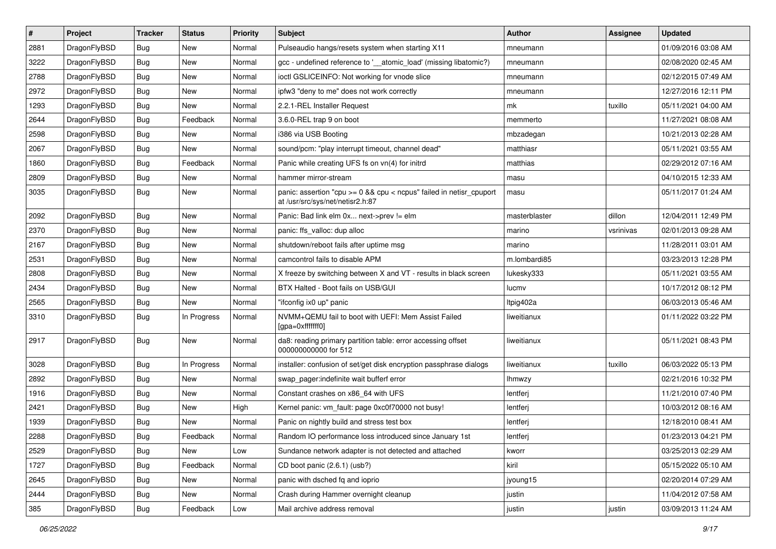| $\sharp$ | Project      | <b>Tracker</b> | <b>Status</b> | <b>Priority</b> | <b>Subject</b>                                                                                          | <b>Author</b> | <b>Assignee</b> | <b>Updated</b>      |
|----------|--------------|----------------|---------------|-----------------|---------------------------------------------------------------------------------------------------------|---------------|-----------------|---------------------|
| 2881     | DragonFlyBSD | Bug            | New           | Normal          | Pulseaudio hangs/resets system when starting X11                                                        | mneumann      |                 | 01/09/2016 03:08 AM |
| 3222     | DragonFlyBSD | Bug            | <b>New</b>    | Normal          | gcc - undefined reference to '__atomic_load' (missing libatomic?)                                       | mneumann      |                 | 02/08/2020 02:45 AM |
| 2788     | DragonFlyBSD | Bug            | <b>New</b>    | Normal          | ioctl GSLICEINFO: Not working for vnode slice                                                           | mneumann      |                 | 02/12/2015 07:49 AM |
| 2972     | DragonFlyBSD | Bug            | New           | Normal          | ipfw3 "deny to me" does not work correctly                                                              | mneumann      |                 | 12/27/2016 12:11 PM |
| 1293     | DragonFlyBSD | Bug            | <b>New</b>    | Normal          | 2.2.1-REL Installer Request                                                                             | mk            | tuxillo         | 05/11/2021 04:00 AM |
| 2644     | DragonFlyBSD | Bug            | Feedback      | Normal          | 3.6.0-REL trap 9 on boot                                                                                | memmerto      |                 | 11/27/2021 08:08 AM |
| 2598     | DragonFlyBSD | Bug            | New           | Normal          | i386 via USB Booting                                                                                    | mbzadegan     |                 | 10/21/2013 02:28 AM |
| 2067     | DragonFlyBSD | Bug            | New           | Normal          | sound/pcm: "play interrupt timeout, channel dead"                                                       | matthiasr     |                 | 05/11/2021 03:55 AM |
| 1860     | DragonFlyBSD | Bug            | Feedback      | Normal          | Panic while creating UFS fs on vn(4) for initrd                                                         | matthias      |                 | 02/29/2012 07:16 AM |
| 2809     | DragonFlyBSD | Bug            | New           | Normal          | hammer mirror-stream                                                                                    | masu          |                 | 04/10/2015 12:33 AM |
| 3035     | DragonFlyBSD | Bug            | New           | Normal          | panic: assertion "cpu >= 0 && cpu < ncpus" failed in netisr_cpuport<br>at /usr/src/sys/net/netisr2.h:87 | masu          |                 | 05/11/2017 01:24 AM |
| 2092     | DragonFlyBSD | Bug            | <b>New</b>    | Normal          | Panic: Bad link elm 0x next->prev != elm                                                                | masterblaster | dillon          | 12/04/2011 12:49 PM |
| 2370     | DragonFlyBSD | <b>Bug</b>     | <b>New</b>    | Normal          | panic: ffs_valloc: dup alloc                                                                            | marino        | vsrinivas       | 02/01/2013 09:28 AM |
| 2167     | DragonFlyBSD | Bug            | New           | Normal          | shutdown/reboot fails after uptime msg                                                                  | marino        |                 | 11/28/2011 03:01 AM |
| 2531     | DragonFlyBSD | Bug            | <b>New</b>    | Normal          | camcontrol fails to disable APM                                                                         | m.lombardi85  |                 | 03/23/2013 12:28 PM |
| 2808     | DragonFlyBSD | Bug            | New           | Normal          | X freeze by switching between X and VT - results in black screen                                        | lukesky333    |                 | 05/11/2021 03:55 AM |
| 2434     | DragonFlyBSD | Bug            | New           | Normal          | BTX Halted - Boot fails on USB/GUI                                                                      | lucmv         |                 | 10/17/2012 08:12 PM |
| 2565     | DragonFlyBSD | Bug            | New           | Normal          | "ifconfig ix0 up" panic                                                                                 | Itpig402a     |                 | 06/03/2013 05:46 AM |
| 3310     | DragonFlyBSD | Bug            | In Progress   | Normal          | NVMM+QEMU fail to boot with UEFI: Mem Assist Failed<br>[gpa=0xfffffff0]                                 | liweitianux   |                 | 01/11/2022 03:22 PM |
| 2917     | DragonFlyBSD | Bug            | <b>New</b>    | Normal          | da8: reading primary partition table: error accessing offset<br>000000000000 for 512                    | liweitianux   |                 | 05/11/2021 08:43 PM |
| 3028     | DragonFlyBSD | Bug            | In Progress   | Normal          | installer: confusion of set/get disk encryption passphrase dialogs                                      | liweitianux   | tuxillo         | 06/03/2022 05:13 PM |
| 2892     | DragonFlyBSD | Bug            | <b>New</b>    | Normal          | swap_pager:indefinite wait bufferf error                                                                | <b>Ihmwzy</b> |                 | 02/21/2016 10:32 PM |
| 1916     | DragonFlyBSD | Bug            | <b>New</b>    | Normal          | Constant crashes on x86_64 with UFS                                                                     | lentferj      |                 | 11/21/2010 07:40 PM |
| 2421     | DragonFlyBSD | Bug            | New           | High            | Kernel panic: vm_fault: page 0xc0f70000 not busy!                                                       | lentferj      |                 | 10/03/2012 08:16 AM |
| 1939     | DragonFlyBSD | Bug            | New           | Normal          | Panic on nightly build and stress test box                                                              | lentferj      |                 | 12/18/2010 08:41 AM |
| 2288     | DragonFlyBSD | Bug            | Feedback      | Normal          | Random IO performance loss introduced since January 1st                                                 | lentferj      |                 | 01/23/2013 04:21 PM |
| 2529     | DragonFlyBSD | Bug            | New           | Low             | Sundance network adapter is not detected and attached                                                   | kworr         |                 | 03/25/2013 02:29 AM |
| 1727     | DragonFlyBSD | Bug            | Feedback      | Normal          | CD boot panic (2.6.1) (usb?)                                                                            | kiril         |                 | 05/15/2022 05:10 AM |
| 2645     | DragonFlyBSD | <b>Bug</b>     | New           | Normal          | panic with dsched fq and ioprio                                                                         | jyoung15      |                 | 02/20/2014 07:29 AM |
| 2444     | DragonFlyBSD | Bug            | New           | Normal          | Crash during Hammer overnight cleanup                                                                   | justin        |                 | 11/04/2012 07:58 AM |
| 385      | DragonFlyBSD | <b>Bug</b>     | Feedback      | Low             | Mail archive address removal                                                                            | justin        | justin          | 03/09/2013 11:24 AM |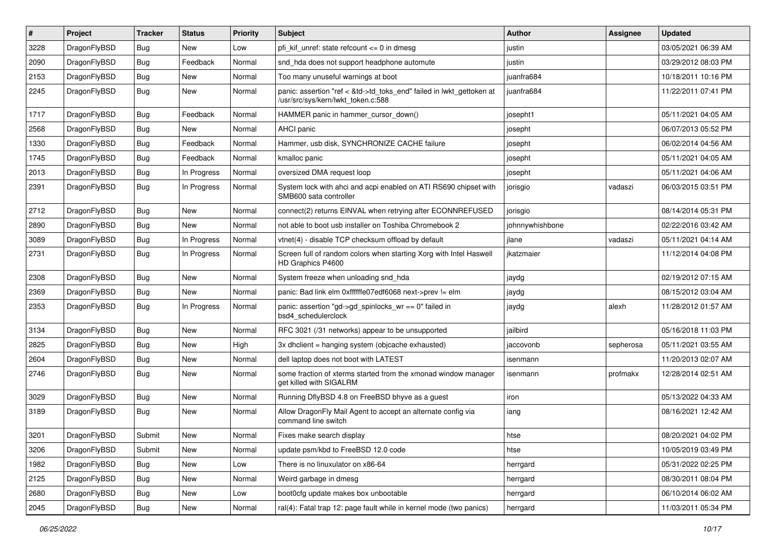| #    | Project      | <b>Tracker</b> | <b>Status</b> | <b>Priority</b> | Subject                                                                                                    | Author          | Assignee  | <b>Updated</b>      |
|------|--------------|----------------|---------------|-----------------|------------------------------------------------------------------------------------------------------------|-----------------|-----------|---------------------|
| 3228 | DragonFlyBSD | Bug            | New           | Low             | pfi kif unref: state refcount $\leq$ 0 in dmesg                                                            | justin          |           | 03/05/2021 06:39 AM |
| 2090 | DragonFlyBSD | <b>Bug</b>     | Feedback      | Normal          | snd_hda does not support headphone automute                                                                | justin          |           | 03/29/2012 08:03 PM |
| 2153 | DragonFlyBSD | <b>Bug</b>     | New           | Normal          | Too many unuseful warnings at boot                                                                         | juanfra684      |           | 10/18/2011 10:16 PM |
| 2245 | DragonFlyBSD | Bug            | New           | Normal          | panic: assertion "ref < &td->td_toks_end" failed in lwkt_gettoken at<br>/usr/src/sys/kern/lwkt_token.c:588 | juanfra684      |           | 11/22/2011 07:41 PM |
| 1717 | DragonFlyBSD | <b>Bug</b>     | Feedback      | Normal          | HAMMER panic in hammer cursor down()                                                                       | josepht1        |           | 05/11/2021 04:05 AM |
| 2568 | DragonFlyBSD | <b>Bug</b>     | New           | Normal          | AHCI panic                                                                                                 | josepht         |           | 06/07/2013 05:52 PM |
| 1330 | DragonFlyBSD | <b>Bug</b>     | Feedback      | Normal          | Hammer, usb disk, SYNCHRONIZE CACHE failure                                                                | josepht         |           | 06/02/2014 04:56 AM |
| 1745 | DragonFlyBSD | Bug            | Feedback      | Normal          | kmalloc panic                                                                                              | josepht         |           | 05/11/2021 04:05 AM |
| 2013 | DragonFlyBSD | Bug            | In Progress   | Normal          | oversized DMA request loop                                                                                 | josepht         |           | 05/11/2021 04:06 AM |
| 2391 | DragonFlyBSD | Bug            | In Progress   | Normal          | System lock with ahci and acpi enabled on ATI RS690 chipset with<br>SMB600 sata controller                 | jorisgio        | vadaszi   | 06/03/2015 03:51 PM |
| 2712 | DragonFlyBSD | <b>Bug</b>     | New           | Normal          | connect(2) returns EINVAL when retrying after ECONNREFUSED                                                 | jorisgio        |           | 08/14/2014 05:31 PM |
| 2890 | DragonFlyBSD | Bug            | New           | Normal          | not able to boot usb installer on Toshiba Chromebook 2                                                     | johnnywhishbone |           | 02/22/2016 03:42 AM |
| 3089 | DragonFlyBSD | <b>Bug</b>     | In Progress   | Normal          | vtnet(4) - disable TCP checksum offload by default                                                         | jlane           | vadaszi   | 05/11/2021 04:14 AM |
| 2731 | DragonFlyBSD | <b>Bug</b>     | In Progress   | Normal          | Screen full of random colors when starting Xorg with Intel Haswell<br>HD Graphics P4600                    | ikatzmaier      |           | 11/12/2014 04:08 PM |
| 2308 | DragonFlyBSD | <b>Bug</b>     | <b>New</b>    | Normal          | System freeze when unloading snd_hda                                                                       | jaydg           |           | 02/19/2012 07:15 AM |
| 2369 | DragonFlyBSD | <b>Bug</b>     | New           | Normal          | panic: Bad link elm 0xffffffe07edf6068 next->prev != elm                                                   | jaydg           |           | 08/15/2012 03:04 AM |
| 2353 | DragonFlyBSD | Bug            | In Progress   | Normal          | panic: assertion "gd->gd_spinlocks_wr == 0" failed in<br>bsd4_schedulerclock                               | jaydg           | alexh     | 11/28/2012 01:57 AM |
| 3134 | DragonFlyBSD | Bug            | New           | Normal          | RFC 3021 (/31 networks) appear to be unsupported                                                           | jailbird        |           | 05/16/2018 11:03 PM |
| 2825 | DragonFlyBSD | <b>Bug</b>     | <b>New</b>    | High            | 3x dhclient = hanging system (objcache exhausted)                                                          | jaccovonb       | sepherosa | 05/11/2021 03:55 AM |
| 2604 | DragonFlyBSD | <b>Bug</b>     | <b>New</b>    | Normal          | dell laptop does not boot with LATEST                                                                      | isenmann        |           | 11/20/2013 02:07 AM |
| 2746 | DragonFlyBSD | Bug            | New           | Normal          | some fraction of xterms started from the xmonad window manager<br>get killed with SIGALRM                  | isenmann        | profmakx  | 12/28/2014 02:51 AM |
| 3029 | DragonFlyBSD | <b>Bug</b>     | <b>New</b>    | Normal          | Running DflyBSD 4.8 on FreeBSD bhyve as a guest                                                            | iron            |           | 05/13/2022 04:33 AM |
| 3189 | DragonFlyBSD | Bug            | <b>New</b>    | Normal          | Allow DragonFly Mail Agent to accept an alternate config via<br>command line switch                        | iang            |           | 08/16/2021 12:42 AM |
| 3201 | DragonFlyBSD | Submit         | New           | Normal          | Fixes make search display                                                                                  | htse            |           | 08/20/2021 04:02 PM |
| 3206 | DragonFlyBSD | Submit         | New           | Normal          | update psm/kbd to FreeBSD 12.0 code                                                                        | htse            |           | 10/05/2019 03:49 PM |
| 1982 | DragonFlyBSD | <b>Bug</b>     | New           | Low             | There is no linuxulator on x86-64                                                                          | herrgard        |           | 05/31/2022 02:25 PM |
| 2125 | DragonFlyBSD | <b>Bug</b>     | New           | Normal          | Weird garbage in dmesg                                                                                     | herrgard        |           | 08/30/2011 08:04 PM |
| 2680 | DragonFlyBSD | <b>Bug</b>     | New           | Low             | boot0cfg update makes box unbootable                                                                       | herrgard        |           | 06/10/2014 06:02 AM |
| 2045 | DragonFlyBSD | <b>Bug</b>     | New           | Normal          | ral(4): Fatal trap 12: page fault while in kernel mode (two panics)                                        | herrgard        |           | 11/03/2011 05:34 PM |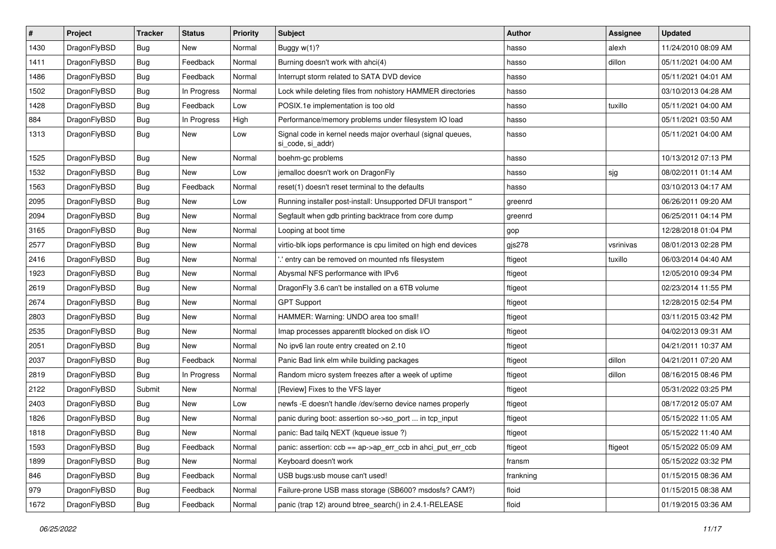| $\vert$ # | Project      | <b>Tracker</b> | <b>Status</b> | <b>Priority</b> | <b>Subject</b>                                                                  | <b>Author</b> | <b>Assignee</b> | <b>Updated</b>      |
|-----------|--------------|----------------|---------------|-----------------|---------------------------------------------------------------------------------|---------------|-----------------|---------------------|
| 1430      | DragonFlyBSD | <b>Bug</b>     | New           | Normal          | Buggy w(1)?                                                                     | hasso         | alexh           | 11/24/2010 08:09 AM |
| 1411      | DragonFlyBSD | <b>Bug</b>     | Feedback      | Normal          | Burning doesn't work with ahci(4)                                               | hasso         | dillon          | 05/11/2021 04:00 AM |
| 1486      | DragonFlyBSD | <b>Bug</b>     | Feedback      | Normal          | Interrupt storm related to SATA DVD device                                      | hasso         |                 | 05/11/2021 04:01 AM |
| 1502      | DragonFlyBSD | <b>Bug</b>     | In Progress   | Normal          | Lock while deleting files from nohistory HAMMER directories                     | hasso         |                 | 03/10/2013 04:28 AM |
| 1428      | DragonFlyBSD | <b>Bug</b>     | Feedback      | Low             | POSIX.1e implementation is too old                                              | hasso         | tuxillo         | 05/11/2021 04:00 AM |
| 884       | DragonFlyBSD | <b>Bug</b>     | In Progress   | High            | Performance/memory problems under filesystem IO load                            | hasso         |                 | 05/11/2021 03:50 AM |
| 1313      | DragonFlyBSD | Bug            | New           | Low             | Signal code in kernel needs major overhaul (signal queues,<br>si code, si addr) | hasso         |                 | 05/11/2021 04:00 AM |
| 1525      | DragonFlyBSD | Bug            | <b>New</b>    | Normal          | boehm-gc problems                                                               | hasso         |                 | 10/13/2012 07:13 PM |
| 1532      | DragonFlyBSD | <b>Bug</b>     | New           | Low             | jemalloc doesn't work on DragonFly                                              | hasso         | sjg             | 08/02/2011 01:14 AM |
| 1563      | DragonFlyBSD | <b>Bug</b>     | Feedback      | Normal          | reset(1) doesn't reset terminal to the defaults                                 | hasso         |                 | 03/10/2013 04:17 AM |
| 2095      | DragonFlyBSD | Bug            | New           | Low             | Running installer post-install: Unsupported DFUI transport "                    | greenrd       |                 | 06/26/2011 09:20 AM |
| 2094      | DragonFlyBSD | <b>Bug</b>     | New           | Normal          | Segfault when gdb printing backtrace from core dump                             | greenrd       |                 | 06/25/2011 04:14 PM |
| 3165      | DragonFlyBSD | <b>Bug</b>     | New           | Normal          | Looping at boot time                                                            | gop           |                 | 12/28/2018 01:04 PM |
| 2577      | DragonFlyBSD | <b>Bug</b>     | New           | Normal          | virtio-blk iops performance is cpu limited on high end devices                  | gjs278        | vsrinivas       | 08/01/2013 02:28 PM |
| 2416      | DragonFlyBSD | <b>Bug</b>     | New           | Normal          | ".' entry can be removed on mounted nfs filesystem                              | ftigeot       | tuxillo         | 06/03/2014 04:40 AM |
| 1923      | DragonFlyBSD | Bug            | New           | Normal          | Abysmal NFS performance with IPv6                                               | ftigeot       |                 | 12/05/2010 09:34 PM |
| 2619      | DragonFlyBSD | <b>Bug</b>     | New           | Normal          | DragonFly 3.6 can't be installed on a 6TB volume                                | ftigeot       |                 | 02/23/2014 11:55 PM |
| 2674      | DragonFlyBSD | <b>Bug</b>     | New           | Normal          | <b>GPT Support</b>                                                              | ftigeot       |                 | 12/28/2015 02:54 PM |
| 2803      | DragonFlyBSD | <b>Bug</b>     | New           | Normal          | HAMMER: Warning: UNDO area too small!                                           | ftigeot       |                 | 03/11/2015 03:42 PM |
| 2535      | DragonFlyBSD | <b>Bug</b>     | New           | Normal          | Imap processes apparentlt blocked on disk I/O                                   | ftigeot       |                 | 04/02/2013 09:31 AM |
| 2051      | DragonFlyBSD | <b>Bug</b>     | New           | Normal          | No ipv6 lan route entry created on 2.10                                         | ftigeot       |                 | 04/21/2011 10:37 AM |
| 2037      | DragonFlyBSD | <b>Bug</b>     | Feedback      | Normal          | Panic Bad link elm while building packages                                      | ftigeot       | dillon          | 04/21/2011 07:20 AM |
| 2819      | DragonFlyBSD | <b>Bug</b>     | In Progress   | Normal          | Random micro system freezes after a week of uptime                              | ftigeot       | dillon          | 08/16/2015 08:46 PM |
| 2122      | DragonFlyBSD | Submit         | New           | Normal          | [Review] Fixes to the VFS layer                                                 | ftigeot       |                 | 05/31/2022 03:25 PM |
| 2403      | DragonFlyBSD | Bug            | New           | Low             | newfs -E doesn't handle /dev/serno device names properly                        | ftigeot       |                 | 08/17/2012 05:07 AM |
| 1826      | DragonFlyBSD | <b>Bug</b>     | New           | Normal          | panic during boot: assertion so->so port  in tcp input                          | ftigeot       |                 | 05/15/2022 11:05 AM |
| 1818      | DragonFlyBSD | <b>Bug</b>     | New           | Normal          | panic: Bad tailq NEXT (kqueue issue ?)                                          | ftigeot       |                 | 05/15/2022 11:40 AM |
| 1593      | DragonFlyBSD | <b>Bug</b>     | Feedback      | Normal          | panic: assertion: ccb == ap->ap_err_ccb in ahci_put_err_ccb                     | ftigeot       | ftigeot         | 05/15/2022 05:09 AM |
| 1899      | DragonFlyBSD | <b>Bug</b>     | New           | Normal          | Keyboard doesn't work                                                           | fransm        |                 | 05/15/2022 03:32 PM |
| 846       | DragonFlyBSD | <b>Bug</b>     | Feedback      | Normal          | USB bugs:usb mouse can't used!                                                  | frankning     |                 | 01/15/2015 08:36 AM |
| 979       | DragonFlyBSD | <b>Bug</b>     | Feedback      | Normal          | Failure-prone USB mass storage (SB600? msdosfs? CAM?)                           | floid         |                 | 01/15/2015 08:38 AM |
| 1672      | DragonFlyBSD | <b>Bug</b>     | Feedback      | Normal          | panic (trap 12) around btree_search() in 2.4.1-RELEASE                          | floid         |                 | 01/19/2015 03:36 AM |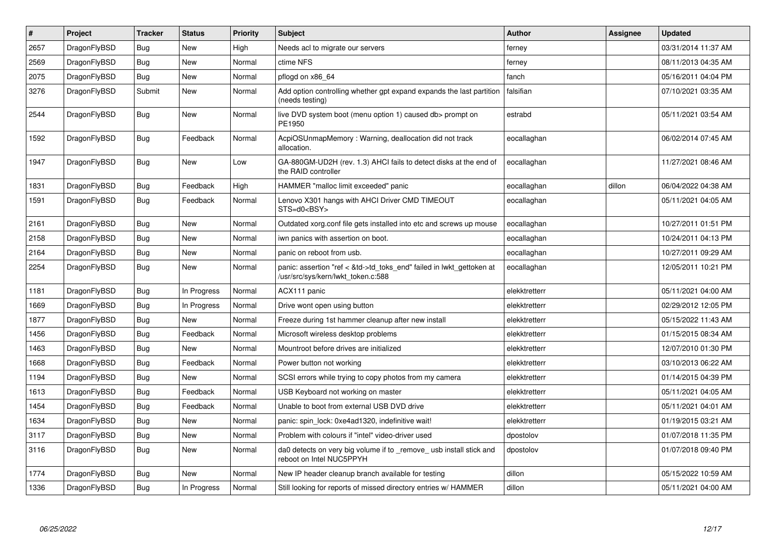| $\vert$ # | Project      | <b>Tracker</b> | <b>Status</b> | <b>Priority</b> | <b>Subject</b>                                                                                             | <b>Author</b> | Assignee | <b>Updated</b>      |
|-----------|--------------|----------------|---------------|-----------------|------------------------------------------------------------------------------------------------------------|---------------|----------|---------------------|
| 2657      | DragonFlyBSD | <b>Bug</b>     | <b>New</b>    | High            | Needs acl to migrate our servers                                                                           | ferney        |          | 03/31/2014 11:37 AM |
| 2569      | DragonFlyBSD | <b>Bug</b>     | <b>New</b>    | Normal          | ctime NFS                                                                                                  | ferney        |          | 08/11/2013 04:35 AM |
| 2075      | DragonFlyBSD | <b>Bug</b>     | <b>New</b>    | Normal          | pflogd on x86 64                                                                                           | fanch         |          | 05/16/2011 04:04 PM |
| 3276      | DragonFlyBSD | Submit         | New           | Normal          | Add option controlling whether gpt expand expands the last partition<br>(needs testing)                    | falsifian     |          | 07/10/2021 03:35 AM |
| 2544      | DragonFlyBSD | <b>Bug</b>     | <b>New</b>    | Normal          | live DVD system boot (menu option 1) caused db> prompt on<br>PE1950                                        | estrabd       |          | 05/11/2021 03:54 AM |
| 1592      | DragonFlyBSD | <b>Bug</b>     | Feedback      | Normal          | AcpiOSUnmapMemory: Warning, deallocation did not track<br>allocation.                                      | eocallaghan   |          | 06/02/2014 07:45 AM |
| 1947      | DragonFlyBSD | Bug            | New           | Low             | GA-880GM-UD2H (rev. 1.3) AHCI fails to detect disks at the end of<br>the RAID controller                   | eocallaghan   |          | 11/27/2021 08:46 AM |
| 1831      | DragonFlyBSD | <b>Bug</b>     | Feedback      | High            | HAMMER "malloc limit exceeded" panic                                                                       | eocallaghan   | dillon   | 06/04/2022 04:38 AM |
| 1591      | DragonFlyBSD | <b>Bug</b>     | Feedback      | Normal          | Lenovo X301 hangs with AHCI Driver CMD TIMEOUT<br>STS=d0 <bsy></bsy>                                       | eocallaghan   |          | 05/11/2021 04:05 AM |
| 2161      | DragonFlyBSD | Bug            | New           | Normal          | Outdated xorg.conf file gets installed into etc and screws up mouse                                        | eocallaghan   |          | 10/27/2011 01:51 PM |
| 2158      | DragonFlyBSD | Bug            | New           | Normal          | iwn panics with assertion on boot.                                                                         | eocallaghan   |          | 10/24/2011 04:13 PM |
| 2164      | DragonFlyBSD | Bug            | <b>New</b>    | Normal          | panic on reboot from usb.                                                                                  | eocallaghan   |          | 10/27/2011 09:29 AM |
| 2254      | DragonFlyBSD | <b>Bug</b>     | <b>New</b>    | Normal          | panic: assertion "ref < &td->td toks end" failed in lwkt gettoken at<br>/usr/src/sys/kern/lwkt_token.c:588 | eocallaghan   |          | 12/05/2011 10:21 PM |
| 1181      | DragonFlyBSD | Bug            | In Progress   | Normal          | ACX111 panic                                                                                               | elekktretterr |          | 05/11/2021 04:00 AM |
| 1669      | DragonFlyBSD | <b>Bug</b>     | In Progress   | Normal          | Drive wont open using button                                                                               | elekktretterr |          | 02/29/2012 12:05 PM |
| 1877      | DragonFlyBSD | Bug            | New           | Normal          | Freeze during 1st hammer cleanup after new install                                                         | elekktretterr |          | 05/15/2022 11:43 AM |
| 1456      | DragonFlyBSD | Bug            | Feedback      | Normal          | Microsoft wireless desktop problems                                                                        | elekktretterr |          | 01/15/2015 08:34 AM |
| 1463      | DragonFlyBSD | Bug            | New           | Normal          | Mountroot before drives are initialized                                                                    | elekktretterr |          | 12/07/2010 01:30 PM |
| 1668      | DragonFlyBSD | Bug            | Feedback      | Normal          | Power button not working                                                                                   | elekktretterr |          | 03/10/2013 06:22 AM |
| 1194      | DragonFlyBSD | <b>Bug</b>     | <b>New</b>    | Normal          | SCSI errors while trying to copy photos from my camera                                                     | elekktretterr |          | 01/14/2015 04:39 PM |
| 1613      | DragonFlyBSD | <b>Bug</b>     | Feedback      | Normal          | USB Keyboard not working on master                                                                         | elekktretterr |          | 05/11/2021 04:05 AM |
| 1454      | DragonFlyBSD | <b>Bug</b>     | Feedback      | Normal          | Unable to boot from external USB DVD drive                                                                 | elekktretterr |          | 05/11/2021 04:01 AM |
| 1634      | DragonFlyBSD | Bug            | <b>New</b>    | Normal          | panic: spin lock: 0xe4ad1320, indefinitive wait!                                                           | elekktretterr |          | 01/19/2015 03:21 AM |
| 3117      | DragonFlyBSD | Bug            | <b>New</b>    | Normal          | Problem with colours if "intel" video-driver used                                                          | dpostolov     |          | 01/07/2018 11:35 PM |
| 3116      | DragonFlyBSD | Bug            | <b>New</b>    | Normal          | da0 detects on very big volume if to remove usb install stick and<br>reboot on Intel NUC5PPYH              | dpostolov     |          | 01/07/2018 09:40 PM |
| 1774      | DragonFlyBSD | Bug            | <b>New</b>    | Normal          | New IP header cleanup branch available for testing                                                         | dillon        |          | 05/15/2022 10:59 AM |
| 1336      | DragonFlyBSD | Bug            | In Progress   | Normal          | Still looking for reports of missed directory entries w/ HAMMER                                            | dillon        |          | 05/11/2021 04:00 AM |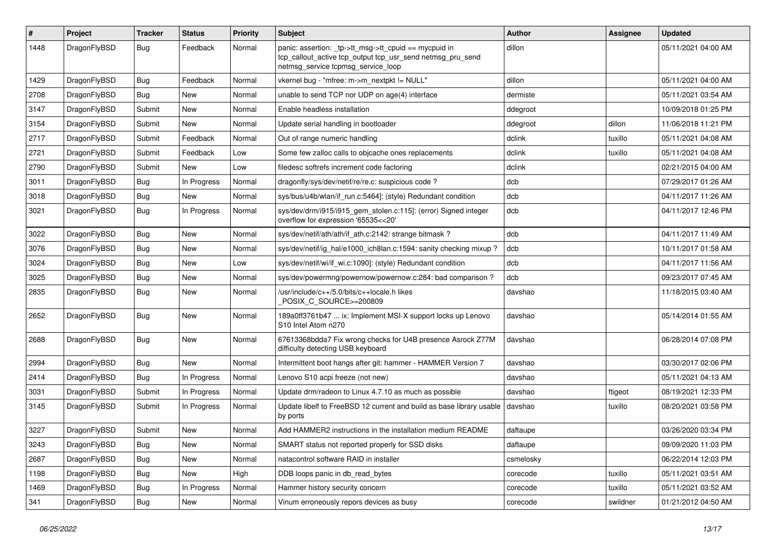| #    | Project      | <b>Tracker</b> | <b>Status</b> | <b>Priority</b> | <b>Subject</b>                                                                                                                                            | <b>Author</b> | Assignee | <b>Updated</b>      |
|------|--------------|----------------|---------------|-----------------|-----------------------------------------------------------------------------------------------------------------------------------------------------------|---------------|----------|---------------------|
| 1448 | DragonFlyBSD | Bug            | Feedback      | Normal          | panic: assertion: _tp->tt_msg->tt_cpuid == mycpuid in<br>tcp_callout_active tcp_output tcp_usr_send netmsg_pru_send<br>netmsg_service tcpmsg_service_loop | dillon        |          | 05/11/2021 04:00 AM |
| 1429 | DragonFlyBSD | <b>Bug</b>     | Feedback      | Normal          | vkernel bug - "mfree: m->m_nextpkt != NULL"                                                                                                               | dillon        |          | 05/11/2021 04:00 AM |
| 2708 | DragonFlyBSD | Bug            | <b>New</b>    | Normal          | unable to send TCP nor UDP on age(4) interface                                                                                                            | dermiste      |          | 05/11/2021 03:54 AM |
| 3147 | DragonFlyBSD | Submit         | <b>New</b>    | Normal          | Enable headless installation                                                                                                                              | ddegroot      |          | 10/09/2018 01:25 PM |
| 3154 | DragonFlyBSD | Submit         | <b>New</b>    | Normal          | Update serial handling in bootloader                                                                                                                      | ddegroot      | dillon   | 11/06/2018 11:21 PM |
| 2717 | DragonFlyBSD | Submit         | Feedback      | Normal          | Out of range numeric handling                                                                                                                             | dclink        | tuxillo  | 05/11/2021 04:08 AM |
| 2721 | DragonFlyBSD | Submit         | Feedback      | Low             | Some few zalloc calls to objcache ones replacements                                                                                                       | dclink        | tuxillo  | 05/11/2021 04:08 AM |
| 2790 | DragonFlyBSD | Submit         | New           | Low             | filedesc softrefs increment code factoring                                                                                                                | dclink        |          | 02/21/2015 04:00 AM |
| 3011 | DragonFlyBSD | Bug            | In Progress   | Normal          | dragonfly/sys/dev/netif/re/re.c: suspicious code?                                                                                                         | dcb           |          | 07/29/2017 01:26 AM |
| 3018 | DragonFlyBSD | <b>Bug</b>     | <b>New</b>    | Normal          | sys/bus/u4b/wlan/if_run.c:5464]: (style) Redundant condition                                                                                              | dcb           |          | 04/11/2017 11:26 AM |
| 3021 | DragonFlyBSD | Bug            | In Progress   | Normal          | sys/dev/drm/i915/i915_gem_stolen.c:115]: (error) Signed integer<br>overflow for expression '65535<<20'                                                    | dcb           |          | 04/11/2017 12:46 PM |
| 3022 | DragonFlyBSD | Bug            | <b>New</b>    | Normal          | sys/dev/netif/ath/ath/if ath.c:2142: strange bitmask?                                                                                                     | dcb           |          | 04/11/2017 11:49 AM |
| 3076 | DragonFlyBSD | <b>Bug</b>     | New           | Normal          | sys/dev/netif/ig_hal/e1000_ich8lan.c:1594: sanity checking mixup ?                                                                                        | dcb           |          | 10/11/2017 01:58 AM |
| 3024 | DragonFlyBSD | <b>Bug</b>     | <b>New</b>    | Low             | sys/dev/netif/wi/if_wi.c:1090]: (style) Redundant condition                                                                                               | dcb           |          | 04/11/2017 11:56 AM |
| 3025 | DragonFlyBSD | Bug            | <b>New</b>    | Normal          | sys/dev/powermng/powernow/powernow.c:284: bad comparison?                                                                                                 | dcb           |          | 09/23/2017 07:45 AM |
| 2835 | DragonFlyBSD | <b>Bug</b>     | <b>New</b>    | Normal          | /usr/include/c++/5.0/bits/c++locale.h likes<br>POSIX C_SOURCE>=200809                                                                                     | davshao       |          | 11/18/2015 03:40 AM |
| 2652 | DragonFlyBSD | <b>Bug</b>     | <b>New</b>    | Normal          | 189a0ff3761b47  ix: Implement MSI-X support locks up Lenovo<br>S10 Intel Atom n270                                                                        | davshao       |          | 05/14/2014 01:55 AM |
| 2688 | DragonFlyBSD | Bug            | <b>New</b>    | Normal          | 67613368bdda7 Fix wrong checks for U4B presence Asrock Z77M<br>difficulty detecting USB keyboard                                                          | davshao       |          | 06/28/2014 07:08 PM |
| 2994 | DragonFlyBSD | Bug            | <b>New</b>    | Normal          | Intermittent boot hangs after git: hammer - HAMMER Version 7                                                                                              | davshao       |          | 03/30/2017 02:06 PM |
| 2414 | DragonFlyBSD | Bug            | In Progress   | Normal          | Lenovo S10 acpi freeze (not new)                                                                                                                          | davshao       |          | 05/11/2021 04:13 AM |
| 3031 | DragonFlyBSD | Submit         | In Progress   | Normal          | Update drm/radeon to Linux 4.7.10 as much as possible                                                                                                     | davshao       | ftigeot  | 08/19/2021 12:33 PM |
| 3145 | DragonFlyBSD | Submit         | In Progress   | Normal          | Update libelf to FreeBSD 12 current and build as base library usable<br>by ports                                                                          | davshao       | tuxillo  | 08/20/2021 03:58 PM |
| 3227 | DragonFlyBSD | Submit         | New           | Normal          | Add HAMMER2 instructions in the installation medium README                                                                                                | daftaupe      |          | 03/26/2020 03:34 PM |
| 3243 | DragonFlyBSD | <b>Bug</b>     | New           | Normal          | SMART status not reported properly for SSD disks                                                                                                          | daftaupe      |          | 09/09/2020 11:03 PM |
| 2687 | DragonFlyBSD | <b>Bug</b>     | New           | Normal          | natacontrol software RAID in installer                                                                                                                    | csmelosky     |          | 06/22/2014 12:03 PM |
| 1198 | DragonFlyBSD | Bug            | New           | High            | DDB loops panic in db_read_bytes                                                                                                                          | corecode      | tuxillo  | 05/11/2021 03:51 AM |
| 1469 | DragonFlyBSD | <b>Bug</b>     | In Progress   | Normal          | Hammer history security concern                                                                                                                           | corecode      | tuxillo  | 05/11/2021 03:52 AM |
| 341  | DragonFlyBSD | <b>Bug</b>     | New           | Normal          | Vinum erroneously repors devices as busy                                                                                                                  | corecode      | swildner | 01/21/2012 04:50 AM |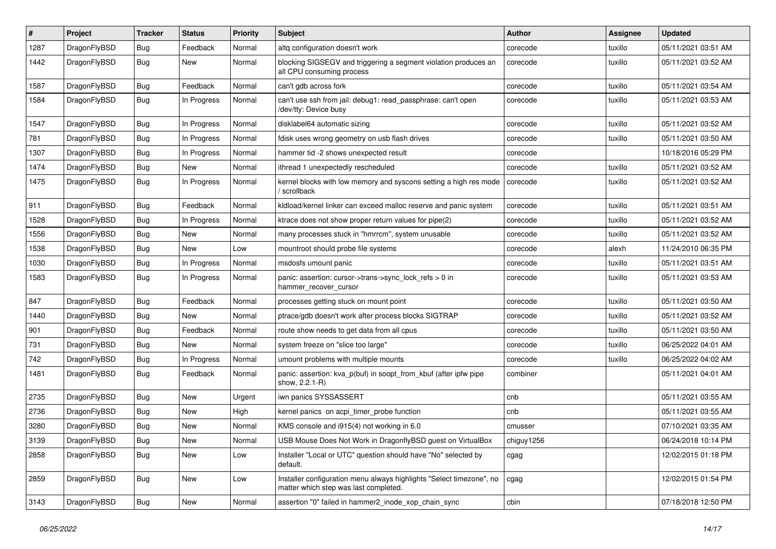| #    | Project      | <b>Tracker</b> | <b>Status</b> | <b>Priority</b> | Subject                                                                                                       | <b>Author</b> | <b>Assignee</b> | <b>Updated</b>      |
|------|--------------|----------------|---------------|-----------------|---------------------------------------------------------------------------------------------------------------|---------------|-----------------|---------------------|
| 1287 | DragonFlyBSD | <b>Bug</b>     | Feedback      | Normal          | altg configuration doesn't work                                                                               | corecode      | tuxillo         | 05/11/2021 03:51 AM |
| 1442 | DragonFlyBSD | <b>Bug</b>     | New           | Normal          | blocking SIGSEGV and triggering a segment violation produces an<br>all CPU consuming process                  | corecode      | tuxillo         | 05/11/2021 03:52 AM |
| 1587 | DragonFlyBSD | <b>Bug</b>     | Feedback      | Normal          | can't gdb across fork                                                                                         | corecode      | tuxillo         | 05/11/2021 03:54 AM |
| 1584 | DragonFlyBSD | <b>Bug</b>     | In Progress   | Normal          | can't use ssh from jail: debug1: read_passphrase: can't open<br>/dev/tty: Device busy                         | corecode      | tuxillo         | 05/11/2021 03:53 AM |
| 1547 | DragonFlyBSD | <b>Bug</b>     | In Progress   | Normal          | disklabel64 automatic sizing                                                                                  | corecode      | tuxillo         | 05/11/2021 03:52 AM |
| 781  | DragonFlyBSD | <b>Bug</b>     | In Progress   | Normal          | fdisk uses wrong geometry on usb flash drives                                                                 | corecode      | tuxillo         | 05/11/2021 03:50 AM |
| 1307 | DragonFlyBSD | <b>Bug</b>     | In Progress   | Normal          | hammer tid -2 shows unexpected result                                                                         | corecode      |                 | 10/18/2016 05:29 PM |
| 1474 | DragonFlyBSD | <b>Bug</b>     | New           | Normal          | ithread 1 unexpectedly rescheduled                                                                            | corecode      | tuxillo         | 05/11/2021 03:52 AM |
| 1475 | DragonFlyBSD | <b>Bug</b>     | In Progress   | Normal          | kernel blocks with low memory and syscons setting a high res mode<br>/ scrollback                             | corecode      | tuxillo         | 05/11/2021 03:52 AM |
| 911  | DragonFlyBSD | <b>Bug</b>     | Feedback      | Normal          | kidload/kernel linker can exceed malloc reserve and panic system                                              | corecode      | tuxillo         | 05/11/2021 03:51 AM |
| 1528 | DragonFlyBSD | <b>Bug</b>     | In Progress   | Normal          | ktrace does not show proper return values for pipe(2)                                                         | corecode      | tuxillo         | 05/11/2021 03:52 AM |
| 1556 | DragonFlyBSD | <b>Bug</b>     | New           | Normal          | many processes stuck in "hmrrcm", system unusable                                                             | corecode      | tuxillo         | 05/11/2021 03:52 AM |
| 1538 | DragonFlyBSD | Bug            | New           | Low             | mountroot should probe file systems                                                                           | corecode      | alexh           | 11/24/2010 06:35 PM |
| 1030 | DragonFlyBSD | Bug            | In Progress   | Normal          | msdosfs umount panic                                                                                          | corecode      | tuxillo         | 05/11/2021 03:51 AM |
| 1583 | DragonFlyBSD | <b>Bug</b>     | In Progress   | Normal          | panic: assertion: cursor->trans->sync_lock_refs > 0 in<br>hammer recover cursor                               | corecode      | tuxillo         | 05/11/2021 03:53 AM |
| 847  | DragonFlyBSD | <b>Bug</b>     | Feedback      | Normal          | processes getting stuck on mount point                                                                        | corecode      | tuxillo         | 05/11/2021 03:50 AM |
| 1440 | DragonFlyBSD | <b>Bug</b>     | New           | Normal          | ptrace/gdb doesn't work after process blocks SIGTRAP                                                          | corecode      | tuxillo         | 05/11/2021 03:52 AM |
| 901  | DragonFlyBSD | <b>Bug</b>     | Feedback      | Normal          | route show needs to get data from all cpus                                                                    | corecode      | tuxillo         | 05/11/2021 03:50 AM |
| 731  | DragonFlyBSD | Bug            | New           | Normal          | system freeze on "slice too large"                                                                            | corecode      | tuxillo         | 06/25/2022 04:01 AM |
| 742  | DragonFlyBSD | Bug            | In Progress   | Normal          | umount problems with multiple mounts                                                                          | corecode      | tuxillo         | 06/25/2022 04:02 AM |
| 1481 | DragonFlyBSD | Bug            | Feedback      | Normal          | panic: assertion: kva_p(buf) in soopt_from_kbuf (after ipfw pipe<br>show, 2.2.1-R)                            | combiner      |                 | 05/11/2021 04:01 AM |
| 2735 | DragonFlyBSD | Bug            | New           | Urgent          | iwn panics SYSSASSERT                                                                                         | cnb           |                 | 05/11/2021 03:55 AM |
| 2736 | DragonFlyBSD | Bug            | New           | High            | kernel panics on acpi_timer_probe function                                                                    | cnb           |                 | 05/11/2021 03:55 AM |
| 3280 | DragonFlyBSD | Bug            | New           | Normal          | KMS console and i915(4) not working in 6.0                                                                    | cmusser       |                 | 07/10/2021 03:35 AM |
| 3139 | DragonFlyBSD | <b>Bug</b>     | New           | Normal          | USB Mouse Does Not Work in DragonflyBSD guest on VirtualBox                                                   | chiguy1256    |                 | 06/24/2018 10:14 PM |
| 2858 | DragonFlyBSD | Bug            | New           | Low             | Installer "Local or UTC" question should have "No" selected by<br>default.                                    | cgag          |                 | 12/02/2015 01:18 PM |
| 2859 | DragonFlyBSD | <b>Bug</b>     | New           | Low             | Installer configuration menu always highlights "Select timezone", no<br>matter which step was last completed. | cgag          |                 | 12/02/2015 01:54 PM |
| 3143 | DragonFlyBSD | <b>Bug</b>     | New           | Normal          | assertion "0" failed in hammer2 inode xop chain sync                                                          | cbin          |                 | 07/18/2018 12:50 PM |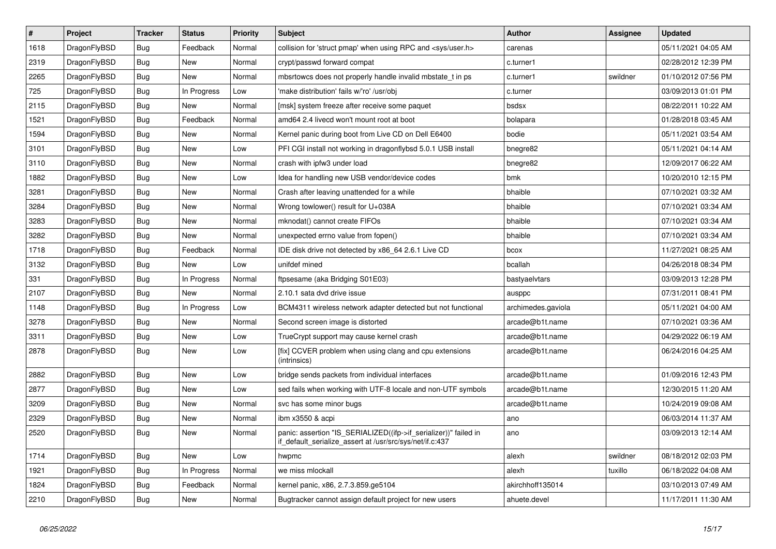| $\vert$ # | <b>Project</b> | <b>Tracker</b> | <b>Status</b> | Priority | <b>Subject</b>                                                                                                               | Author             | Assignee | <b>Updated</b>      |
|-----------|----------------|----------------|---------------|----------|------------------------------------------------------------------------------------------------------------------------------|--------------------|----------|---------------------|
| 1618      | DragonFlyBSD   | Bug            | Feedback      | Normal   | collision for 'struct pmap' when using RPC and <sys user.h=""></sys>                                                         | carenas            |          | 05/11/2021 04:05 AM |
| 2319      | DragonFlyBSD   | Bug            | New           | Normal   | crypt/passwd forward compat                                                                                                  | c.turner1          |          | 02/28/2012 12:39 PM |
| 2265      | DragonFlyBSD   | <b>Bug</b>     | New           | Normal   | mbsrtowcs does not properly handle invalid mbstate t in ps                                                                   | c.turner1          | swildner | 01/10/2012 07:56 PM |
| 725       | DragonFlyBSD   | Bug            | In Progress   | Low      | 'make distribution' fails w/'ro' /usr/obj                                                                                    | c.turner           |          | 03/09/2013 01:01 PM |
| 2115      | DragonFlyBSD   | <b>Bug</b>     | New           | Normal   | [msk] system freeze after receive some paquet                                                                                | bsdsx              |          | 08/22/2011 10:22 AM |
| 1521      | DragonFlyBSD   | <b>Bug</b>     | Feedback      | Normal   | amd64 2.4 livecd won't mount root at boot                                                                                    | bolapara           |          | 01/28/2018 03:45 AM |
| 1594      | DragonFlyBSD   | <b>Bug</b>     | <b>New</b>    | Normal   | Kernel panic during boot from Live CD on Dell E6400                                                                          | bodie              |          | 05/11/2021 03:54 AM |
| 3101      | DragonFlyBSD   | Bug            | New           | Low      | PFI CGI install not working in dragonflybsd 5.0.1 USB install                                                                | bnegre82           |          | 05/11/2021 04:14 AM |
| 3110      | DragonFlyBSD   | Bug            | New           | Normal   | crash with ipfw3 under load                                                                                                  | bnegre82           |          | 12/09/2017 06:22 AM |
| 1882      | DragonFlyBSD   | Bug            | New           | Low      | Idea for handling new USB vendor/device codes                                                                                | bmk                |          | 10/20/2010 12:15 PM |
| 3281      | DragonFlyBSD   | <b>Bug</b>     | <b>New</b>    | Normal   | Crash after leaving unattended for a while                                                                                   | bhaible            |          | 07/10/2021 03:32 AM |
| 3284      | DragonFlyBSD   | <b>Bug</b>     | <b>New</b>    | Normal   | Wrong towlower() result for U+038A                                                                                           | bhaible            |          | 07/10/2021 03:34 AM |
| 3283      | DragonFlyBSD   | <b>Bug</b>     | <b>New</b>    | Normal   | mknodat() cannot create FIFOs                                                                                                | bhaible            |          | 07/10/2021 03:34 AM |
| 3282      | DragonFlyBSD   | Bug            | <b>New</b>    | Normal   | unexpected errno value from fopen()                                                                                          | bhaible            |          | 07/10/2021 03:34 AM |
| 1718      | DragonFlyBSD   | <b>Bug</b>     | Feedback      | Normal   | IDE disk drive not detected by x86_64 2.6.1 Live CD                                                                          | bcox               |          | 11/27/2021 08:25 AM |
| 3132      | DragonFlyBSD   | Bug            | New           | Low      | unifdef mined                                                                                                                | bcallah            |          | 04/26/2018 08:34 PM |
| 331       | DragonFlyBSD   | Bug            | In Progress   | Normal   | ftpsesame (aka Bridging S01E03)                                                                                              | bastyaelvtars      |          | 03/09/2013 12:28 PM |
| 2107      | DragonFlyBSD   | <b>Bug</b>     | <b>New</b>    | Normal   | 2.10.1 sata dvd drive issue                                                                                                  | ausppc             |          | 07/31/2011 08:41 PM |
| 1148      | DragonFlyBSD   | <b>Bug</b>     | In Progress   | Low      | BCM4311 wireless network adapter detected but not functional                                                                 | archimedes.gaviola |          | 05/11/2021 04:00 AM |
| 3278      | DragonFlyBSD   | <b>Bug</b>     | New           | Normal   | Second screen image is distorted                                                                                             | arcade@b1t.name    |          | 07/10/2021 03:36 AM |
| 3311      | DragonFlyBSD   | <b>Bug</b>     | <b>New</b>    | Low      | TrueCrypt support may cause kernel crash                                                                                     | arcade@b1t.name    |          | 04/29/2022 06:19 AM |
| 2878      | DragonFlyBSD   | <b>Bug</b>     | <b>New</b>    | Low      | [fix] CCVER problem when using clang and cpu extensions<br>(intrinsics)                                                      | arcade@b1t.name    |          | 06/24/2016 04:25 AM |
| 2882      | DragonFlyBSD   | Bug            | <b>New</b>    | Low      | bridge sends packets from individual interfaces                                                                              | arcade@b1t.name    |          | 01/09/2016 12:43 PM |
| 2877      | DragonFlyBSD   | Bug            | <b>New</b>    | Low      | sed fails when working with UTF-8 locale and non-UTF symbols                                                                 | arcade@b1t.name    |          | 12/30/2015 11:20 AM |
| 3209      | DragonFlyBSD   | <b>Bug</b>     | <b>New</b>    | Normal   | svc has some minor bugs                                                                                                      | arcade@b1t.name    |          | 10/24/2019 09:08 AM |
| 2329      | DragonFlyBSD   | <b>Bug</b>     | <b>New</b>    | Normal   | ibm x3550 & acpi                                                                                                             | ano                |          | 06/03/2014 11:37 AM |
| 2520      | DragonFlyBSD   | <b>Bug</b>     | <b>New</b>    | Normal   | panic: assertion "IS_SERIALIZED((ifp->if_serializer))" failed in<br>if_default_serialize_assert at /usr/src/sys/net/if.c:437 | ano                |          | 03/09/2013 12:14 AM |
| 1714      | DragonFlyBSD   | <b>Bug</b>     | New           | Low      | hwpmc                                                                                                                        | alexh              | swildner | 08/18/2012 02:03 PM |
| 1921      | DragonFlyBSD   | Bug            | In Progress   | Normal   | we miss mlockall                                                                                                             | alexh              | tuxillo  | 06/18/2022 04:08 AM |
| 1824      | DragonFlyBSD   | <b>Bug</b>     | Feedback      | Normal   | kernel panic, x86, 2.7.3.859.ge5104                                                                                          | akirchhoff135014   |          | 03/10/2013 07:49 AM |
| 2210      | DragonFlyBSD   | <b>Bug</b>     | <b>New</b>    | Normal   | Bugtracker cannot assign default project for new users                                                                       | ahuete.devel       |          | 11/17/2011 11:30 AM |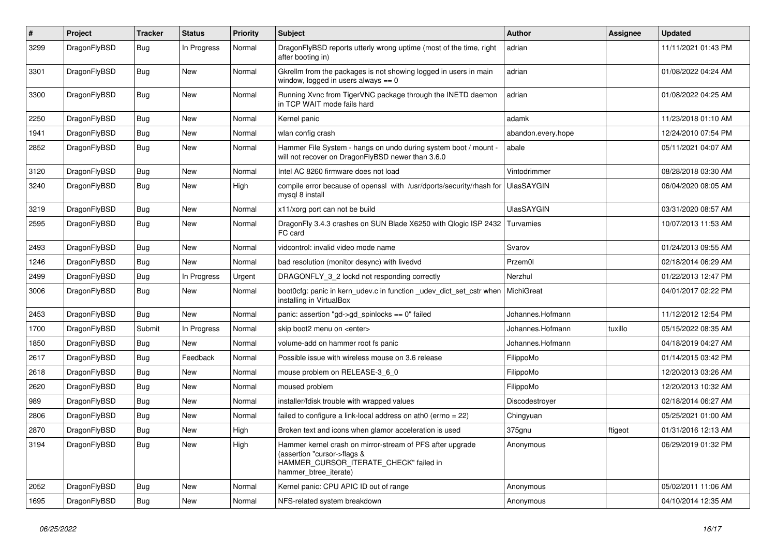| $\vert$ # | Project      | <b>Tracker</b> | <b>Status</b> | <b>Priority</b> | <b>Subject</b>                                                                                                                                              | <b>Author</b>      | Assignee | <b>Updated</b>      |
|-----------|--------------|----------------|---------------|-----------------|-------------------------------------------------------------------------------------------------------------------------------------------------------------|--------------------|----------|---------------------|
| 3299      | DragonFlyBSD | Bug            | In Progress   | Normal          | DragonFlyBSD reports utterly wrong uptime (most of the time, right<br>after booting in)                                                                     | adrian             |          | 11/11/2021 01:43 PM |
| 3301      | DragonFlyBSD | <b>Bug</b>     | <b>New</b>    | Normal          | Gkrellm from the packages is not showing logged in users in main<br>window, logged in users always $== 0$                                                   | adrian             |          | 01/08/2022 04:24 AM |
| 3300      | DragonFlyBSD | <b>Bug</b>     | <b>New</b>    | Normal          | Running Xvnc from TigerVNC package through the INETD daemon<br>in TCP WAIT mode fails hard                                                                  | adrian             |          | 01/08/2022 04:25 AM |
| 2250      | DragonFlyBSD | Bug            | <b>New</b>    | Normal          | Kernel panic                                                                                                                                                | adamk              |          | 11/23/2018 01:10 AM |
| 1941      | DragonFlyBSD | Bug            | <b>New</b>    | Normal          | wlan config crash                                                                                                                                           | abandon.every.hope |          | 12/24/2010 07:54 PM |
| 2852      | DragonFlyBSD | <b>Bug</b>     | New           | Normal          | Hammer File System - hangs on undo during system boot / mount -<br>will not recover on DragonFlyBSD newer than 3.6.0                                        | abale              |          | 05/11/2021 04:07 AM |
| 3120      | DragonFlyBSD | <b>Bug</b>     | <b>New</b>    | Normal          | Intel AC 8260 firmware does not load                                                                                                                        | Vintodrimmer       |          | 08/28/2018 03:30 AM |
| 3240      | DragonFlyBSD | <b>Bug</b>     | <b>New</b>    | High            | compile error because of openssl with /usr/dports/security/rhash for<br>mysgl 8 install                                                                     | <b>UlasSAYGIN</b>  |          | 06/04/2020 08:05 AM |
| 3219      | DragonFlyBSD | Bug            | <b>New</b>    | Normal          | x11/xorg port can not be build                                                                                                                              | <b>UlasSAYGIN</b>  |          | 03/31/2020 08:57 AM |
| 2595      | DragonFlyBSD | <b>Bug</b>     | <b>New</b>    | Normal          | DragonFly 3.4.3 crashes on SUN Blade X6250 with Qlogic ISP 2432<br>FC card                                                                                  | Turvamies          |          | 10/07/2013 11:53 AM |
| 2493      | DragonFlyBSD | Bug            | New           | Normal          | vidcontrol: invalid video mode name                                                                                                                         | Svarov             |          | 01/24/2013 09:55 AM |
| 1246      | DragonFlyBSD | <b>Bug</b>     | <b>New</b>    | Normal          | bad resolution (monitor desync) with livedvd                                                                                                                | Przem0l            |          | 02/18/2014 06:29 AM |
| 2499      | DragonFlyBSD | <b>Bug</b>     | In Progress   | Urgent          | DRAGONFLY_3_2 lockd not responding correctly                                                                                                                | Nerzhul            |          | 01/22/2013 12:47 PM |
| 3006      | DragonFlyBSD | Bug            | New           | Normal          | boot0cfg: panic in kern udev.c in function udev dict set cstr when<br>installing in VirtualBox                                                              | <b>MichiGreat</b>  |          | 04/01/2017 02:22 PM |
| 2453      | DragonFlyBSD | Bug            | <b>New</b>    | Normal          | panic: assertion "gd->gd_spinlocks == 0" failed                                                                                                             | Johannes.Hofmann   |          | 11/12/2012 12:54 PM |
| 1700      | DragonFlyBSD | Submit         | In Progress   | Normal          | skip boot2 menu on <enter></enter>                                                                                                                          | Johannes.Hofmann   | tuxillo  | 05/15/2022 08:35 AM |
| 1850      | DragonFlyBSD | <b>Bug</b>     | <b>New</b>    | Normal          | volume-add on hammer root fs panic                                                                                                                          | Johannes.Hofmann   |          | 04/18/2019 04:27 AM |
| 2617      | DragonFlyBSD | <b>Bug</b>     | Feedback      | Normal          | Possible issue with wireless mouse on 3.6 release                                                                                                           | FilippoMo          |          | 01/14/2015 03:42 PM |
| 2618      | DragonFlyBSD | <b>Bug</b>     | <b>New</b>    | Normal          | mouse problem on RELEASE-3 6 0                                                                                                                              | FilippoMo          |          | 12/20/2013 03:26 AM |
| 2620      | DragonFlyBSD | <b>Bug</b>     | <b>New</b>    | Normal          | moused problem                                                                                                                                              | FilippoMo          |          | 12/20/2013 10:32 AM |
| 989       | DragonFlyBSD | <b>Bug</b>     | <b>New</b>    | Normal          | installer/fdisk trouble with wrapped values                                                                                                                 | Discodestrover     |          | 02/18/2014 06:27 AM |
| 2806      | DragonFlyBSD | <b>Bug</b>     | <b>New</b>    | Normal          | failed to configure a link-local address on ath0 (errno = 22)                                                                                               | Chingyuan          |          | 05/25/2021 01:00 AM |
| 2870      | DragonFlyBSD | Bug            | <b>New</b>    | High            | Broken text and icons when glamor acceleration is used                                                                                                      | 375gnu             | ftigeot  | 01/31/2016 12:13 AM |
| 3194      | DragonFlyBSD | Bug            | <b>New</b>    | High            | Hammer kernel crash on mirror-stream of PFS after upgrade<br>(assertion "cursor->flags &<br>HAMMER_CURSOR_ITERATE_CHECK" failed in<br>hammer_btree_iterate) | Anonymous          |          | 06/29/2019 01:32 PM |
| 2052      | DragonFlyBSD | Bug            | <b>New</b>    | Normal          | Kernel panic: CPU APIC ID out of range                                                                                                                      | Anonymous          |          | 05/02/2011 11:06 AM |
| 1695      | DragonFlyBSD | Bug            | <b>New</b>    | Normal          | NFS-related system breakdown                                                                                                                                | Anonymous          |          | 04/10/2014 12:35 AM |